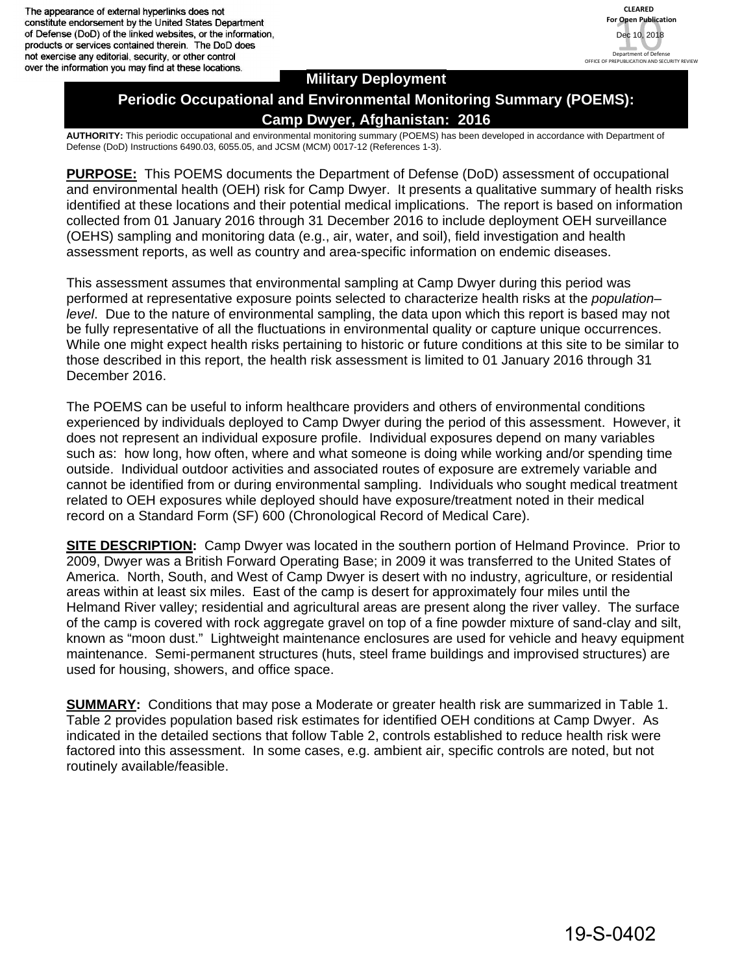The appearance of external hyperlinks does not constitute endorsement by the United States Department of Defense (DoD) of the linked websites, or the information, products or services contained therein. The DoD does not exercise any editorial, security, or other control over the information you may find at these locations.



### **Military Deployment**

# **Periodic Occupational and Environmental Monitoring Summary (POEMS): Camp Dwyer, Afghanistan: 2016**

**AUTHORITY:** This periodic occupational and environmental monitoring summary (POEMS) has been developed in accordance with Department of Defense (DoD) Instructions 6490.03, 6055.05, and JCSM (MCM) 0017-12 (References 1-3).

**PURPOSE:** This POEMS documents the Department of Defense (DoD) assessment of occupational and environmental health (OEH) risk for Camp Dwyer. It presents a qualitative summary of health risks identified at these locations and their potential medical implications. The report is based on information collected from 01 January 2016 through 31 December 2016 to include deployment OEH surveillance (OEHS) sampling and monitoring data (e.g., air, water, and soil), field investigation and health assessment reports, as well as country and area-specific information on endemic diseases.

This assessment assumes that environmental sampling at Camp Dwyer during this period was performed at representative exposure points selected to characterize health risks at the *population– level*. Due to the nature of environmental sampling, the data upon which this report is based may not be fully representative of all the fluctuations in environmental quality or capture unique occurrences. While one might expect health risks pertaining to historic or future conditions at this site to be similar to those described in this report, the health risk assessment is limited to 01 January 2016 through 31 December 2016.

The POEMS can be useful to inform healthcare providers and others of environmental conditions experienced by individuals deployed to Camp Dwyer during the period of this assessment. However, it does not represent an individual exposure profile. Individual exposures depend on many variables such as: how long, how often, where and what someone is doing while working and/or spending time outside. Individual outdoor activities and associated routes of exposure are extremely variable and cannot be identified from or during environmental sampling. Individuals who sought medical treatment related to OEH exposures while deployed should have exposure/treatment noted in their medical record on a Standard Form (SF) 600 (Chronological Record of Medical Care).

**SITE DESCRIPTION:** Camp Dwyer was located in the southern portion of Helmand Province. Prior to 2009, Dwyer was a British Forward Operating Base; in 2009 it was transferred to the United States of America. North, South, and West of Camp Dwyer is desert with no industry, agriculture, or residential areas within at least six miles. East of the camp is desert for approximately four miles until the Helmand River valley; residential and agricultural areas are present along the river valley. The surface of the camp is covered with rock aggregate gravel on top of a fine powder mixture of sand-clay and silt, known as "moon dust." Lightweight maintenance enclosures are used for vehicle and heavy equipment maintenance. Semi-permanent structures (huts, steel frame buildings and improvised structures) are used for housing, showers, and office space.

**SUMMARY:** Conditions that may pose a Moderate or greater health risk are summarized in Table 1. Table 2 provides population based risk estimates for identified OEH conditions at Camp Dwyer. As indicated in the detailed sections that follow Table 2, controls established to reduce health risk were factored into this assessment. In some cases, e.g. ambient air, specific controls are noted, but not routinely available/feasible.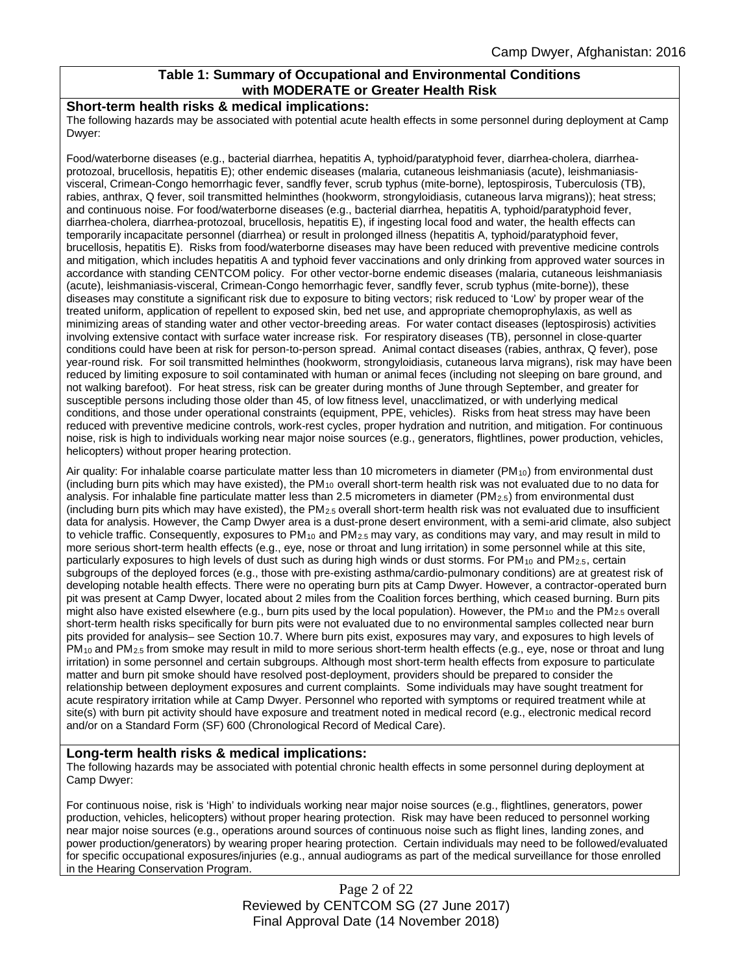### **Table 1: Summary of Occupational and Environmental Conditions with MODERATE or Greater Health Risk**

#### **Short-term health risks & medical implications:**

The following hazards may be associated with potential acute health effects in some personnel during deployment at Camp Dwyer:

Food/waterborne diseases (e.g., bacterial diarrhea, hepatitis A, typhoid/paratyphoid fever, diarrhea-cholera, diarrheaprotozoal, brucellosis, hepatitis E); other endemic diseases (malaria, cutaneous leishmaniasis (acute), leishmaniasisvisceral, Crimean-Congo hemorrhagic fever, sandfly fever, scrub typhus (mite-borne), leptospirosis, Tuberculosis (TB), rabies, anthrax, Q fever, soil transmitted helminthes (hookworm, strongyloidiasis, cutaneous larva migrans)); heat stress; and continuous noise. For food/waterborne diseases (e.g., bacterial diarrhea, hepatitis A, typhoid/paratyphoid fever, diarrhea-cholera, diarrhea-protozoal, brucellosis, hepatitis E), if ingesting local food and water, the health effects can temporarily incapacitate personnel (diarrhea) or result in prolonged illness (hepatitis A, typhoid/paratyphoid fever, brucellosis, hepatitis E). Risks from food/waterborne diseases may have been reduced with preventive medicine controls and mitigation, which includes hepatitis A and typhoid fever vaccinations and only drinking from approved water sources in accordance with standing CENTCOM policy. For other vector-borne endemic diseases (malaria, cutaneous leishmaniasis (acute), leishmaniasis-visceral, Crimean-Congo hemorrhagic fever, sandfly fever, scrub typhus (mite-borne)), these diseases may constitute a significant risk due to exposure to biting vectors; risk reduced to 'Low' by proper wear of the treated uniform, application of repellent to exposed skin, bed net use, and appropriate chemoprophylaxis, as well as minimizing areas of standing water and other vector-breeding areas. For water contact diseases (leptospirosis) activities involving extensive contact with surface water increase risk. For respiratory diseases (TB), personnel in close-quarter conditions could have been at risk for person-to-person spread. Animal contact diseases (rabies, anthrax, Q fever), pose year-round risk. For soil transmitted helminthes (hookworm, strongyloidiasis, cutaneous larva migrans), risk may have been reduced by limiting exposure to soil contaminated with human or animal feces (including not sleeping on bare ground, and not walking barefoot). For heat stress, risk can be greater during months of June through September, and greater for susceptible persons including those older than 45, of low fitness level, unacclimatized, or with underlying medical conditions, and those under operational constraints (equipment, PPE, vehicles). Risks from heat stress may have been reduced with preventive medicine controls, work-rest cycles, proper hydration and nutrition, and mitigation. For continuous noise, risk is high to individuals working near major noise sources (e.g., generators, flightlines, power production, vehicles, helicopters) without proper hearing protection.

Air quality: For inhalable coarse particulate matter less than 10 micrometers in diameter (PM<sub>10</sub>) from environmental dust (including burn pits which may have existed), the  $PM_{10}$  overall short-term health risk was not evaluated due to no data for analysis. For inhalable fine particulate matter less than 2.5 micrometers in diameter (PM $_{2.5}$ ) from environmental dust (including burn pits which may have existed), the  $PM_{2.5}$  overall short-term health risk was not evaluated due to insufficient data for analysis. However, the Camp Dwyer area is a dust-prone desert environment, with a semi-arid climate, also subject to vehicle traffic. Consequently, exposures to PM<sub>10</sub> and PM<sub>2.5</sub> may vary, as conditions may vary, and may result in mild to more serious short-term health effects (e.g., eye, nose or throat and lung irritation) in some personnel while at this site, particularly exposures to high levels of dust such as during high winds or dust storms. For PM<sub>10</sub> and PM<sub>2.5</sub>, certain subgroups of the deployed forces (e.g., those with pre-existing asthma/cardio-pulmonary conditions) are at greatest risk of developing notable health effects. There were no operating burn pits at Camp Dwyer. However, a contractor-operated burn pit was present at Camp Dwyer, located about 2 miles from the Coalition forces berthing, which ceased burning. Burn pits might also have existed elsewhere (e.g., burn pits used by the local population). However, the PM<sub>10</sub> and the PM<sub>2.5</sub> overall short-term health risks specifically for burn pits were not evaluated due to no environmental samples collected near burn pits provided for analysis– see Section 10.7. Where burn pits exist, exposures may vary, and exposures to high levels of PM<sub>10</sub> and PM<sub>2.5</sub> from smoke may result in mild to more serious short-term health effects (e.g., eye, nose or throat and lung irritation) in some personnel and certain subgroups. Although most short-term health effects from exposure to particulate matter and burn pit smoke should have resolved post-deployment, providers should be prepared to consider the relationship between deployment exposures and current complaints. Some individuals may have sought treatment for acute respiratory irritation while at Camp Dwyer. Personnel who reported with symptoms or required treatment while at site(s) with burn pit activity should have exposure and treatment noted in medical record (e.g., electronic medical record and/or on a Standard Form (SF) 600 (Chronological Record of Medical Care).

#### **Long-term health risks & medical implications:**

The following hazards may be associated with potential chronic health effects in some personnel during deployment at Camp Dwyer:

For continuous noise, risk is 'High' to individuals working near major noise sources (e.g., flightlines, generators, power production, vehicles, helicopters) without proper hearing protection. Risk may have been reduced to personnel working near major noise sources (e.g., operations around sources of continuous noise such as flight lines, landing zones, and power production/generators) by wearing proper hearing protection. Certain individuals may need to be followed/evaluated for specific occupational exposures/injuries (e.g., annual audiograms as part of the medical surveillance for those enrolled in the Hearing Conservation Program.

> Page 2 of 22 Reviewed by CENTCOM SG (27 June 2017) Final Approval Date (14 November 2018)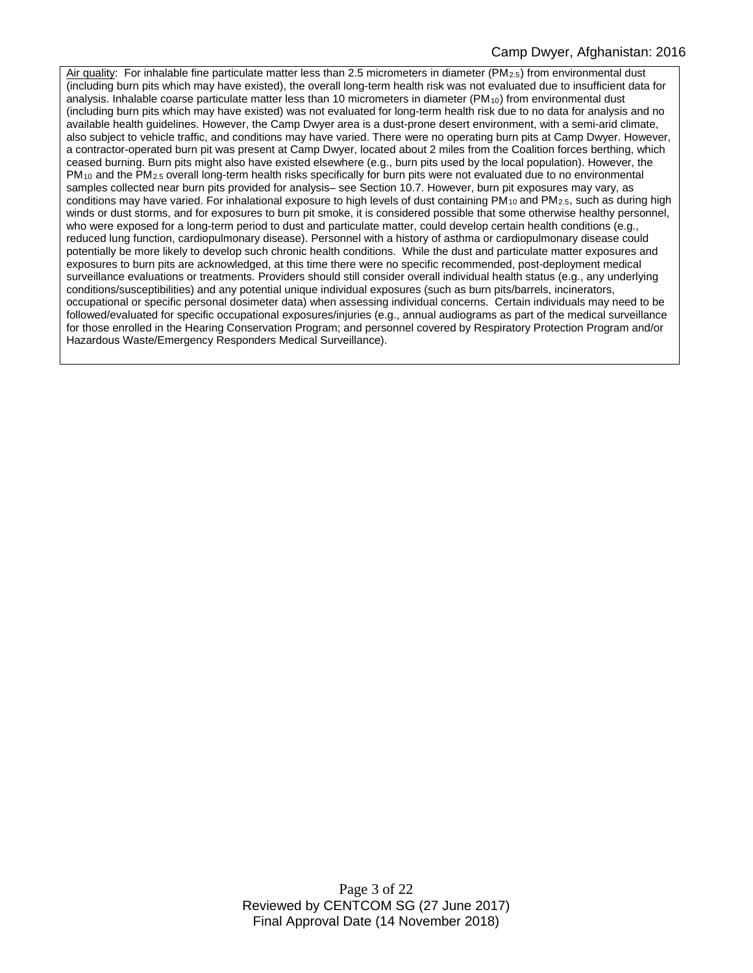Air quality: For inhalable fine particulate matter less than 2.5 micrometers in diameter (PM<sub>2.5</sub>) from environmental dust (including burn pits which may have existed), the overall long-term health risk was not evaluated due to insufficient data for analysis. Inhalable coarse particulate matter less than 10 micrometers in diameter (PM<sub>10</sub>) from environmental dust (including burn pits which may have existed) was not evaluated for long-term health risk due to no data for analysis and no available health guidelines. However, the Camp Dwyer area is a dust-prone desert environment, with a semi-arid climate, also subject to vehicle traffic, and conditions may have varied. There were no operating burn pits at Camp Dwyer. However, a contractor-operated burn pit was present at Camp Dwyer, located about 2 miles from the Coalition forces berthing, which ceased burning. Burn pits might also have existed elsewhere (e.g., burn pits used by the local population). However, the  $PM_{10}$  and the PM<sub>2.5</sub> overall long-term health risks specifically for burn pits were not evaluated due to no environmental samples collected near burn pits provided for analysis– see Section 10.7. However, burn pit exposures may vary, as conditions may have varied. For inhalational exposure to high levels of dust containing PM<sub>10</sub> and PM<sub>2.5</sub>, such as during high winds or dust storms, and for exposures to burn pit smoke, it is considered possible that some otherwise healthy personnel, who were exposed for a long-term period to dust and particulate matter, could develop certain health conditions (e.g., reduced lung function, cardiopulmonary disease). Personnel with a history of asthma or cardiopulmonary disease could potentially be more likely to develop such chronic health conditions. While the dust and particulate matter exposures and exposures to burn pits are acknowledged, at this time there were no specific recommended, post-deployment medical surveillance evaluations or treatments. Providers should still consider overall individual health status (e.g., any underlying conditions/susceptibilities) and any potential unique individual exposures (such as burn pits/barrels, incinerators, occupational or specific personal dosimeter data) when assessing individual concerns. Certain individuals may need to be followed/evaluated for specific occupational exposures/injuries (e.g., annual audiograms as part of the medical surveillance for those enrolled in the Hearing Conservation Program; and personnel covered by Respiratory Protection Program and/or Hazardous Waste/Emergency Responders Medical Surveillance).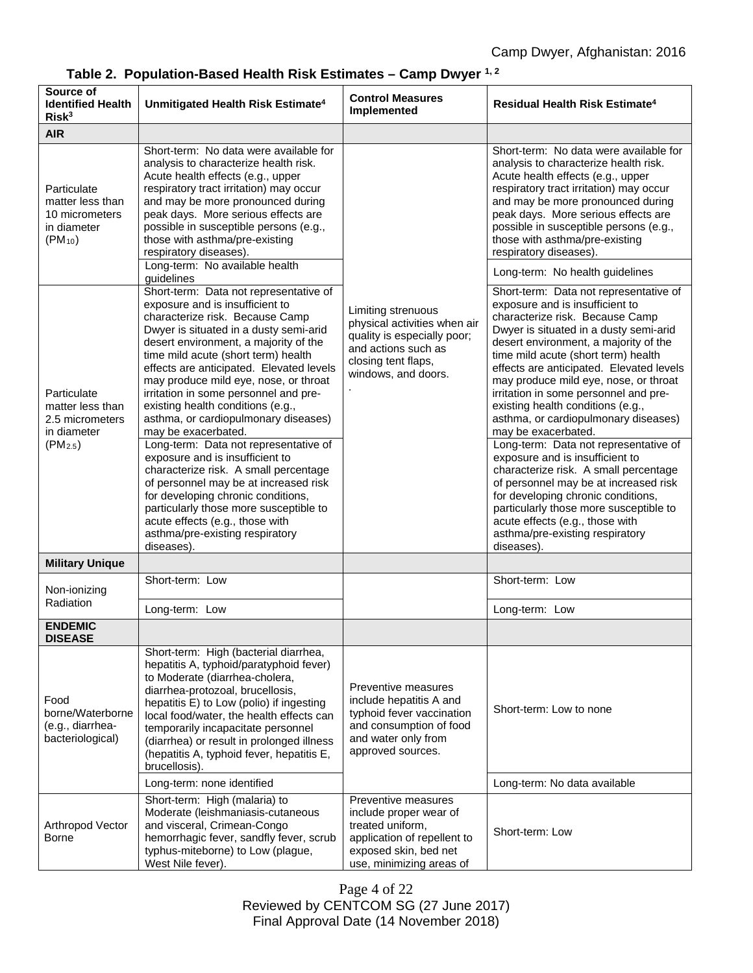| Source of<br><b>Identified Health</b><br>Risk <sup>3</sup>                        | Unmitigated Health Risk Estimate <sup>4</sup>                                                                                                                                                                                                                                                                                                                                                                                                                                                                                                                                                                                                                                                                                                                                                              | <b>Control Measures</b><br>Implemented                                                                                                                 | <b>Residual Health Risk Estimate<sup>4</sup></b>                                                                                                                                                                                                                                                                                                                                                                                                                                                                                                                                                                                                                                                                                                                                                           |
|-----------------------------------------------------------------------------------|------------------------------------------------------------------------------------------------------------------------------------------------------------------------------------------------------------------------------------------------------------------------------------------------------------------------------------------------------------------------------------------------------------------------------------------------------------------------------------------------------------------------------------------------------------------------------------------------------------------------------------------------------------------------------------------------------------------------------------------------------------------------------------------------------------|--------------------------------------------------------------------------------------------------------------------------------------------------------|------------------------------------------------------------------------------------------------------------------------------------------------------------------------------------------------------------------------------------------------------------------------------------------------------------------------------------------------------------------------------------------------------------------------------------------------------------------------------------------------------------------------------------------------------------------------------------------------------------------------------------------------------------------------------------------------------------------------------------------------------------------------------------------------------------|
| <b>AIR</b>                                                                        |                                                                                                                                                                                                                                                                                                                                                                                                                                                                                                                                                                                                                                                                                                                                                                                                            |                                                                                                                                                        |                                                                                                                                                                                                                                                                                                                                                                                                                                                                                                                                                                                                                                                                                                                                                                                                            |
| Particulate<br>matter less than<br>10 micrometers<br>in diameter<br>$(PM_{10})$   | Short-term: No data were available for<br>analysis to characterize health risk.<br>Acute health effects (e.g., upper<br>respiratory tract irritation) may occur<br>and may be more pronounced during<br>peak days. More serious effects are<br>possible in susceptible persons (e.g.,<br>those with asthma/pre-existing<br>respiratory diseases).<br>Long-term: No available health                                                                                                                                                                                                                                                                                                                                                                                                                        |                                                                                                                                                        | Short-term: No data were available for<br>analysis to characterize health risk.<br>Acute health effects (e.g., upper<br>respiratory tract irritation) may occur<br>and may be more pronounced during<br>peak days. More serious effects are<br>possible in susceptible persons (e.g.,<br>those with asthma/pre-existing<br>respiratory diseases).                                                                                                                                                                                                                                                                                                                                                                                                                                                          |
|                                                                                   | guidelines                                                                                                                                                                                                                                                                                                                                                                                                                                                                                                                                                                                                                                                                                                                                                                                                 |                                                                                                                                                        | Long-term: No health guidelines                                                                                                                                                                                                                                                                                                                                                                                                                                                                                                                                                                                                                                                                                                                                                                            |
| Particulate<br>matter less than<br>2.5 micrometers<br>in diameter<br>$(PM_{2.5})$ | Short-term: Data not representative of<br>exposure and is insufficient to<br>characterize risk. Because Camp<br>Dwyer is situated in a dusty semi-arid<br>desert environment, a majority of the<br>time mild acute (short term) health<br>effects are anticipated. Elevated levels<br>may produce mild eye, nose, or throat<br>irritation in some personnel and pre-<br>existing health conditions (e.g.,<br>asthma, or cardiopulmonary diseases)<br>may be exacerbated.<br>Long-term: Data not representative of<br>exposure and is insufficient to<br>characterize risk. A small percentage<br>of personnel may be at increased risk<br>for developing chronic conditions,<br>particularly those more susceptible to<br>acute effects (e.g., those with<br>asthma/pre-existing respiratory<br>diseases). | Limiting strenuous<br>physical activities when air<br>quality is especially poor;<br>and actions such as<br>closing tent flaps,<br>windows, and doors. | Short-term: Data not representative of<br>exposure and is insufficient to<br>characterize risk. Because Camp<br>Dwyer is situated in a dusty semi-arid<br>desert environment, a majority of the<br>time mild acute (short term) health<br>effects are anticipated. Elevated levels<br>may produce mild eye, nose, or throat<br>irritation in some personnel and pre-<br>existing health conditions (e.g.,<br>asthma, or cardiopulmonary diseases)<br>may be exacerbated.<br>Long-term: Data not representative of<br>exposure and is insufficient to<br>characterize risk. A small percentage<br>of personnel may be at increased risk<br>for developing chronic conditions,<br>particularly those more susceptible to<br>acute effects (e.g., those with<br>asthma/pre-existing respiratory<br>diseases). |
| <b>Military Unique</b>                                                            |                                                                                                                                                                                                                                                                                                                                                                                                                                                                                                                                                                                                                                                                                                                                                                                                            |                                                                                                                                                        |                                                                                                                                                                                                                                                                                                                                                                                                                                                                                                                                                                                                                                                                                                                                                                                                            |
| Non-ionizing                                                                      | Short-term: Low                                                                                                                                                                                                                                                                                                                                                                                                                                                                                                                                                                                                                                                                                                                                                                                            |                                                                                                                                                        | Short-term: Low                                                                                                                                                                                                                                                                                                                                                                                                                                                                                                                                                                                                                                                                                                                                                                                            |
| Radiation                                                                         | Long-term: Low                                                                                                                                                                                                                                                                                                                                                                                                                                                                                                                                                                                                                                                                                                                                                                                             |                                                                                                                                                        | Long-term: Low                                                                                                                                                                                                                                                                                                                                                                                                                                                                                                                                                                                                                                                                                                                                                                                             |
| <b>ENDEMIC</b><br><b>DISEASE</b>                                                  |                                                                                                                                                                                                                                                                                                                                                                                                                                                                                                                                                                                                                                                                                                                                                                                                            |                                                                                                                                                        |                                                                                                                                                                                                                                                                                                                                                                                                                                                                                                                                                                                                                                                                                                                                                                                                            |
| Food<br>borne/Waterborne<br>(e.g., diarrhea-<br>bacteriological)                  | Short-term: High (bacterial diarrhea,<br>hepatitis A, typhoid/paratyphoid fever)<br>to Moderate (diarrhea-cholera,<br>diarrhea-protozoal, brucellosis,<br>hepatitis E) to Low (polio) if ingesting<br>local food/water, the health effects can<br>temporarily incapacitate personnel<br>(diarrhea) or result in prolonged illness<br>(hepatitis A, typhoid fever, hepatitis E,<br>brucellosis).                                                                                                                                                                                                                                                                                                                                                                                                            | Preventive measures<br>include hepatitis A and<br>typhoid fever vaccination<br>and consumption of food<br>and water only from<br>approved sources.     | Short-term: Low to none                                                                                                                                                                                                                                                                                                                                                                                                                                                                                                                                                                                                                                                                                                                                                                                    |
|                                                                                   | Long-term: none identified                                                                                                                                                                                                                                                                                                                                                                                                                                                                                                                                                                                                                                                                                                                                                                                 |                                                                                                                                                        | Long-term: No data available                                                                                                                                                                                                                                                                                                                                                                                                                                                                                                                                                                                                                                                                                                                                                                               |
| Arthropod Vector<br><b>Borne</b>                                                  | Short-term: High (malaria) to<br>Moderate (leishmaniasis-cutaneous<br>and visceral, Crimean-Congo<br>hemorrhagic fever, sandfly fever, scrub<br>typhus-miteborne) to Low (plague,<br>West Nile fever).                                                                                                                                                                                                                                                                                                                                                                                                                                                                                                                                                                                                     | Preventive measures<br>include proper wear of<br>treated uniform,<br>application of repellent to<br>exposed skin, bed net<br>use, minimizing areas of  | Short-term: Low                                                                                                                                                                                                                                                                                                                                                                                                                                                                                                                                                                                                                                                                                                                                                                                            |

**Table 2. Population-Based Health Risk Estimates – Camp Dwyer 1, 2**

Page 4 of 22 Reviewed by CENTCOM SG (27 June 2017) Final Approval Date (14 November 2018)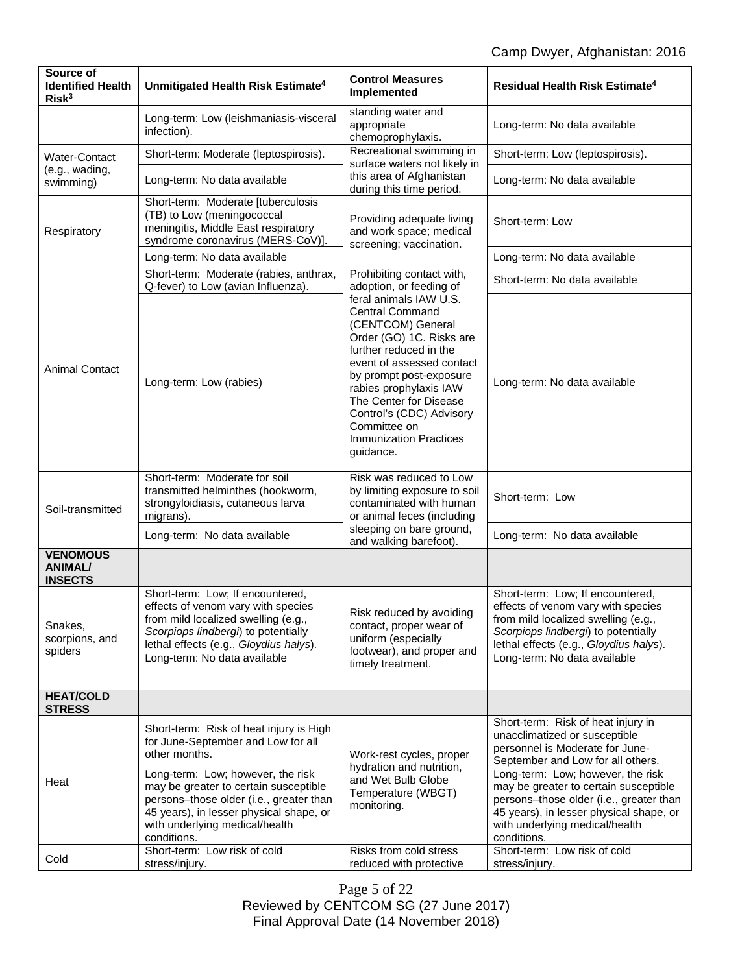| Source of<br><b>Identified Health</b><br>Risk <sup>3</sup> | Unmitigated Health Risk Estimate <sup>4</sup>                                                                                                                                                                                                                                                                       | <b>Control Measures</b><br>Implemented                                                                                                                                                                                                                                                                                            | <b>Residual Health Risk Estimate<sup>4</sup></b>                                                                                                                                                                                                                                                                                                                 |
|------------------------------------------------------------|---------------------------------------------------------------------------------------------------------------------------------------------------------------------------------------------------------------------------------------------------------------------------------------------------------------------|-----------------------------------------------------------------------------------------------------------------------------------------------------------------------------------------------------------------------------------------------------------------------------------------------------------------------------------|------------------------------------------------------------------------------------------------------------------------------------------------------------------------------------------------------------------------------------------------------------------------------------------------------------------------------------------------------------------|
|                                                            | Long-term: Low (leishmaniasis-visceral<br>infection).                                                                                                                                                                                                                                                               | standing water and<br>appropriate<br>chemoprophylaxis.                                                                                                                                                                                                                                                                            | Long-term: No data available                                                                                                                                                                                                                                                                                                                                     |
| <b>Water-Contact</b>                                       | Short-term: Moderate (leptospirosis).                                                                                                                                                                                                                                                                               | Recreational swimming in<br>surface waters not likely in                                                                                                                                                                                                                                                                          | Short-term: Low (leptospirosis).                                                                                                                                                                                                                                                                                                                                 |
| (e.g., wading,<br>swimming)                                | Long-term: No data available                                                                                                                                                                                                                                                                                        | this area of Afghanistan<br>during this time period.                                                                                                                                                                                                                                                                              | Long-term: No data available                                                                                                                                                                                                                                                                                                                                     |
| Respiratory                                                | Short-term: Moderate [tuberculosis<br>(TB) to Low (meningococcal<br>meningitis, Middle East respiratory<br>syndrome coronavirus (MERS-CoV)].                                                                                                                                                                        | Providing adequate living<br>and work space; medical<br>screening; vaccination.                                                                                                                                                                                                                                                   | Short-term: Low                                                                                                                                                                                                                                                                                                                                                  |
|                                                            | Long-term: No data available                                                                                                                                                                                                                                                                                        |                                                                                                                                                                                                                                                                                                                                   | Long-term: No data available                                                                                                                                                                                                                                                                                                                                     |
|                                                            | Short-term: Moderate (rabies, anthrax,<br>Q-fever) to Low (avian Influenza).                                                                                                                                                                                                                                        | Prohibiting contact with,<br>adoption, or feeding of                                                                                                                                                                                                                                                                              | Short-term: No data available                                                                                                                                                                                                                                                                                                                                    |
| <b>Animal Contact</b>                                      | Long-term: Low (rabies)                                                                                                                                                                                                                                                                                             | feral animals IAW U.S.<br><b>Central Command</b><br>(CENTCOM) General<br>Order (GO) 1C. Risks are<br>further reduced in the<br>event of assessed contact<br>by prompt post-exposure<br>rabies prophylaxis IAW<br>The Center for Disease<br>Control's (CDC) Advisory<br>Committee on<br><b>Immunization Practices</b><br>guidance. | Long-term: No data available                                                                                                                                                                                                                                                                                                                                     |
| Soil-transmitted                                           | Short-term: Moderate for soil<br>transmitted helminthes (hookworm,<br>strongyloidiasis, cutaneous larva<br>migrans).                                                                                                                                                                                                | Risk was reduced to Low<br>by limiting exposure to soil<br>contaminated with human<br>or animal feces (including                                                                                                                                                                                                                  | Short-term: Low                                                                                                                                                                                                                                                                                                                                                  |
|                                                            | Long-term: No data available                                                                                                                                                                                                                                                                                        | sleeping on bare ground,<br>and walking barefoot).                                                                                                                                                                                                                                                                                | Long-term: No data available                                                                                                                                                                                                                                                                                                                                     |
| <b>VENOMOUS</b><br><b>ANIMAL/</b><br><b>INSECTS</b>        |                                                                                                                                                                                                                                                                                                                     |                                                                                                                                                                                                                                                                                                                                   |                                                                                                                                                                                                                                                                                                                                                                  |
| Snakes,<br>scorpions, and<br>spiders                       | Short-term: Low; If encountered,<br>effects of venom vary with species<br>from mild localized swelling (e.g.,<br>Scorpiops lindbergi) to potentially<br>lethal effects (e.g., Gloydius halys).<br>Long-term: No data available                                                                                      | Risk reduced by avoiding<br>contact, proper wear of<br>uniform (especially<br>footwear), and proper and<br>timely treatment.                                                                                                                                                                                                      | Short-term: Low; If encountered,<br>effects of venom vary with species<br>from mild localized swelling (e.g.,<br>Scorpiops lindbergi) to potentially<br>lethal effects (e.g., Gloydius halys).<br>Long-term: No data available                                                                                                                                   |
| <b>HEAT/COLD</b><br><b>STRESS</b>                          |                                                                                                                                                                                                                                                                                                                     |                                                                                                                                                                                                                                                                                                                                   |                                                                                                                                                                                                                                                                                                                                                                  |
| Heat                                                       | Short-term: Risk of heat injury is High<br>for June-September and Low for all<br>other months.<br>Long-term: Low; however, the risk<br>may be greater to certain susceptible<br>persons-those older (i.e., greater than<br>45 years), in lesser physical shape, or<br>with underlying medical/health<br>conditions. | Work-rest cycles, proper<br>hydration and nutrition,<br>and Wet Bulb Globe<br>Temperature (WBGT)<br>monitoring.                                                                                                                                                                                                                   | Short-term: Risk of heat injury in<br>unacclimatized or susceptible<br>personnel is Moderate for June-<br>September and Low for all others.<br>Long-term: Low; however, the risk<br>may be greater to certain susceptible<br>persons-those older (i.e., greater than<br>45 years), in lesser physical shape, or<br>with underlying medical/health<br>conditions. |
| Cold                                                       | Short-term: Low risk of cold<br>stress/injury.                                                                                                                                                                                                                                                                      | Risks from cold stress<br>reduced with protective                                                                                                                                                                                                                                                                                 | Short-term: Low risk of cold<br>stress/injury.                                                                                                                                                                                                                                                                                                                   |

Page 5 of 22 Reviewed by CENTCOM SG (27 June 2017) Final Approval Date (14 November 2018)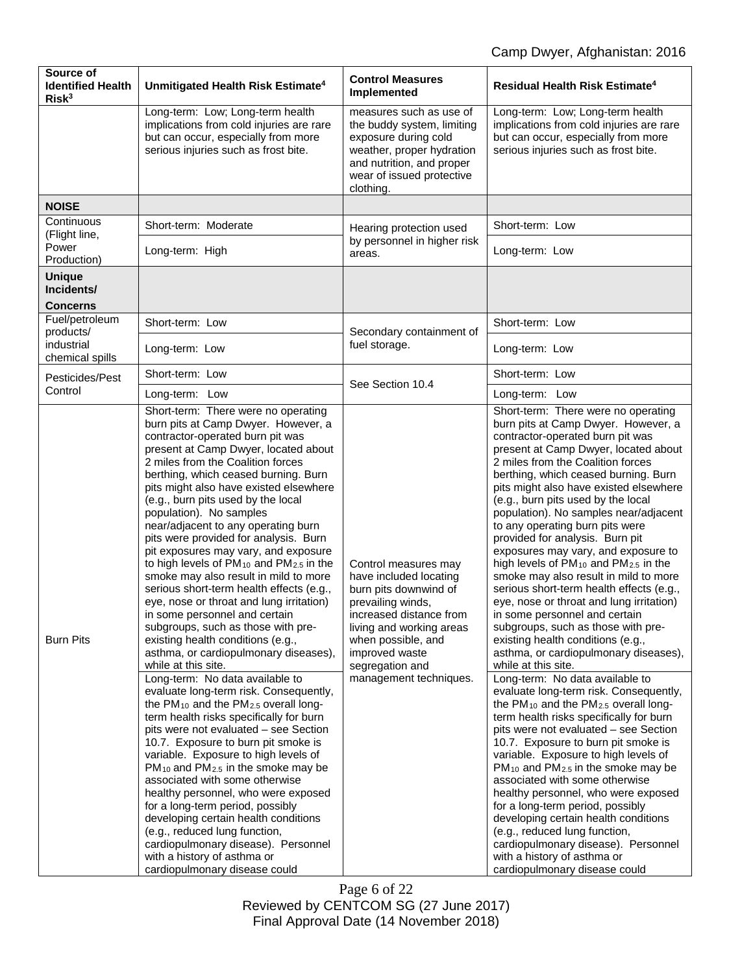| Source of<br><b>Identified Health</b><br>Risk <sup>3</sup> | Unmitigated Health Risk Estimate <sup>4</sup>                                                                                                                                                                                                                                                                                                                                                                                                                                                                                                                                                                                                                                                                                                                                                                                                                                                                                                                                                                                                                                                                                                                                                                                                                                                                                                                                                                                                                                                                                     | <b>Control Measures</b><br>Implemented                                                                                                                                                                                                   | Residual Health Risk Estimate <sup>4</sup>                                                                                                                                                                                                                                                                                                                                                                                                                                                                                                                                                                                                                                                                                                                                                                                                                                                                                                                                                                                                                                                                                                                                                                                                                                                                                                                                                                                                                                                                                        |
|------------------------------------------------------------|-----------------------------------------------------------------------------------------------------------------------------------------------------------------------------------------------------------------------------------------------------------------------------------------------------------------------------------------------------------------------------------------------------------------------------------------------------------------------------------------------------------------------------------------------------------------------------------------------------------------------------------------------------------------------------------------------------------------------------------------------------------------------------------------------------------------------------------------------------------------------------------------------------------------------------------------------------------------------------------------------------------------------------------------------------------------------------------------------------------------------------------------------------------------------------------------------------------------------------------------------------------------------------------------------------------------------------------------------------------------------------------------------------------------------------------------------------------------------------------------------------------------------------------|------------------------------------------------------------------------------------------------------------------------------------------------------------------------------------------------------------------------------------------|-----------------------------------------------------------------------------------------------------------------------------------------------------------------------------------------------------------------------------------------------------------------------------------------------------------------------------------------------------------------------------------------------------------------------------------------------------------------------------------------------------------------------------------------------------------------------------------------------------------------------------------------------------------------------------------------------------------------------------------------------------------------------------------------------------------------------------------------------------------------------------------------------------------------------------------------------------------------------------------------------------------------------------------------------------------------------------------------------------------------------------------------------------------------------------------------------------------------------------------------------------------------------------------------------------------------------------------------------------------------------------------------------------------------------------------------------------------------------------------------------------------------------------------|
|                                                            | Long-term: Low; Long-term health<br>implications from cold injuries are rare<br>but can occur, especially from more<br>serious injuries such as frost bite.                                                                                                                                                                                                                                                                                                                                                                                                                                                                                                                                                                                                                                                                                                                                                                                                                                                                                                                                                                                                                                                                                                                                                                                                                                                                                                                                                                       | measures such as use of<br>the buddy system, limiting<br>exposure during cold<br>weather, proper hydration<br>and nutrition, and proper<br>wear of issued protective<br>clothing.                                                        | Long-term: Low; Long-term health<br>implications from cold injuries are rare<br>but can occur, especially from more<br>serious injuries such as frost bite.                                                                                                                                                                                                                                                                                                                                                                                                                                                                                                                                                                                                                                                                                                                                                                                                                                                                                                                                                                                                                                                                                                                                                                                                                                                                                                                                                                       |
| <b>NOISE</b>                                               |                                                                                                                                                                                                                                                                                                                                                                                                                                                                                                                                                                                                                                                                                                                                                                                                                                                                                                                                                                                                                                                                                                                                                                                                                                                                                                                                                                                                                                                                                                                                   |                                                                                                                                                                                                                                          |                                                                                                                                                                                                                                                                                                                                                                                                                                                                                                                                                                                                                                                                                                                                                                                                                                                                                                                                                                                                                                                                                                                                                                                                                                                                                                                                                                                                                                                                                                                                   |
| Continuous                                                 | Short-term: Moderate                                                                                                                                                                                                                                                                                                                                                                                                                                                                                                                                                                                                                                                                                                                                                                                                                                                                                                                                                                                                                                                                                                                                                                                                                                                                                                                                                                                                                                                                                                              | Hearing protection used                                                                                                                                                                                                                  | Short-term: Low                                                                                                                                                                                                                                                                                                                                                                                                                                                                                                                                                                                                                                                                                                                                                                                                                                                                                                                                                                                                                                                                                                                                                                                                                                                                                                                                                                                                                                                                                                                   |
| (Flight line,<br>Power<br>Production)                      | Long-term: High                                                                                                                                                                                                                                                                                                                                                                                                                                                                                                                                                                                                                                                                                                                                                                                                                                                                                                                                                                                                                                                                                                                                                                                                                                                                                                                                                                                                                                                                                                                   | by personnel in higher risk<br>areas.                                                                                                                                                                                                    | Long-term: Low                                                                                                                                                                                                                                                                                                                                                                                                                                                                                                                                                                                                                                                                                                                                                                                                                                                                                                                                                                                                                                                                                                                                                                                                                                                                                                                                                                                                                                                                                                                    |
| <b>Unique</b><br>Incidents/<br><b>Concerns</b>             |                                                                                                                                                                                                                                                                                                                                                                                                                                                                                                                                                                                                                                                                                                                                                                                                                                                                                                                                                                                                                                                                                                                                                                                                                                                                                                                                                                                                                                                                                                                                   |                                                                                                                                                                                                                                          |                                                                                                                                                                                                                                                                                                                                                                                                                                                                                                                                                                                                                                                                                                                                                                                                                                                                                                                                                                                                                                                                                                                                                                                                                                                                                                                                                                                                                                                                                                                                   |
| Fuel/petroleum                                             | Short-term: Low                                                                                                                                                                                                                                                                                                                                                                                                                                                                                                                                                                                                                                                                                                                                                                                                                                                                                                                                                                                                                                                                                                                                                                                                                                                                                                                                                                                                                                                                                                                   |                                                                                                                                                                                                                                          | Short-term: Low                                                                                                                                                                                                                                                                                                                                                                                                                                                                                                                                                                                                                                                                                                                                                                                                                                                                                                                                                                                                                                                                                                                                                                                                                                                                                                                                                                                                                                                                                                                   |
| products/<br>industrial<br>chemical spills                 | Long-term: Low                                                                                                                                                                                                                                                                                                                                                                                                                                                                                                                                                                                                                                                                                                                                                                                                                                                                                                                                                                                                                                                                                                                                                                                                                                                                                                                                                                                                                                                                                                                    | Secondary containment of<br>fuel storage.                                                                                                                                                                                                | Long-term: Low                                                                                                                                                                                                                                                                                                                                                                                                                                                                                                                                                                                                                                                                                                                                                                                                                                                                                                                                                                                                                                                                                                                                                                                                                                                                                                                                                                                                                                                                                                                    |
| Pesticides/Pest                                            | Short-term: Low                                                                                                                                                                                                                                                                                                                                                                                                                                                                                                                                                                                                                                                                                                                                                                                                                                                                                                                                                                                                                                                                                                                                                                                                                                                                                                                                                                                                                                                                                                                   |                                                                                                                                                                                                                                          | Short-term: Low                                                                                                                                                                                                                                                                                                                                                                                                                                                                                                                                                                                                                                                                                                                                                                                                                                                                                                                                                                                                                                                                                                                                                                                                                                                                                                                                                                                                                                                                                                                   |
| Control                                                    | Long-term: Low                                                                                                                                                                                                                                                                                                                                                                                                                                                                                                                                                                                                                                                                                                                                                                                                                                                                                                                                                                                                                                                                                                                                                                                                                                                                                                                                                                                                                                                                                                                    | See Section 10.4                                                                                                                                                                                                                         | Long-term: Low                                                                                                                                                                                                                                                                                                                                                                                                                                                                                                                                                                                                                                                                                                                                                                                                                                                                                                                                                                                                                                                                                                                                                                                                                                                                                                                                                                                                                                                                                                                    |
| <b>Burn Pits</b>                                           | Short-term: There were no operating<br>burn pits at Camp Dwyer. However, a<br>contractor-operated burn pit was<br>present at Camp Dwyer, located about<br>2 miles from the Coalition forces<br>berthing, which ceased burning. Burn<br>pits might also have existed elsewhere<br>(e.g., burn pits used by the local<br>population). No samples<br>near/adjacent to any operating burn<br>pits were provided for analysis. Burn<br>pit exposures may vary, and exposure<br>to high levels of PM <sub>10</sub> and PM <sub>2.5</sub> in the<br>smoke may also result in mild to more<br>serious short-term health effects (e.g.,<br>eye, nose or throat and lung irritation)<br>in some personnel and certain<br>subgroups, such as those with pre-<br>existing health conditions (e.g.,<br>asthma, or cardiopulmonary diseases),<br>while at this site.<br>Long-term: No data available to<br>evaluate long-term risk. Consequently,<br>the PM <sub>10</sub> and the PM <sub>2.5</sub> overall long-<br>term health risks specifically for burn<br>pits were not evaluated - see Section<br>10.7. Exposure to burn pit smoke is<br>variable. Exposure to high levels of<br>PM <sub>10</sub> and PM <sub>2.5</sub> in the smoke may be<br>associated with some otherwise<br>healthy personnel, who were exposed<br>for a long-term period, possibly<br>developing certain health conditions<br>(e.g., reduced lung function,<br>cardiopulmonary disease). Personnel<br>with a history of asthma or<br>cardiopulmonary disease could | Control measures may<br>have included locating<br>burn pits downwind of<br>prevailing winds,<br>increased distance from<br>living and working areas<br>when possible, and<br>improved waste<br>segregation and<br>management techniques. | Short-term: There were no operating<br>burn pits at Camp Dwyer. However, a<br>contractor-operated burn pit was<br>present at Camp Dwyer, located about<br>2 miles from the Coalition forces<br>berthing, which ceased burning. Burn<br>pits might also have existed elsewhere<br>(e.g., burn pits used by the local<br>population). No samples near/adjacent<br>to any operating burn pits were<br>provided for analysis. Burn pit<br>exposures may vary, and exposure to<br>high levels of PM <sub>10</sub> and PM <sub>2.5</sub> in the<br>smoke may also result in mild to more<br>serious short-term health effects (e.g.,<br>eye, nose or throat and lung irritation)<br>in some personnel and certain<br>subgroups, such as those with pre-<br>existing health conditions (e.g.,<br>asthma, or cardiopulmonary diseases),<br>while at this site.<br>Long-term: No data available to<br>evaluate long-term risk. Consequently,<br>the PM <sub>10</sub> and the PM <sub>2.5</sub> overall long-<br>term health risks specifically for burn<br>pits were not evaluated - see Section<br>10.7. Exposure to burn pit smoke is<br>variable. Exposure to high levels of<br>PM <sub>10</sub> and PM <sub>2.5</sub> in the smoke may be<br>associated with some otherwise<br>healthy personnel, who were exposed<br>for a long-term period, possibly<br>developing certain health conditions<br>(e.g., reduced lung function,<br>cardiopulmonary disease). Personnel<br>with a history of asthma or<br>cardiopulmonary disease could |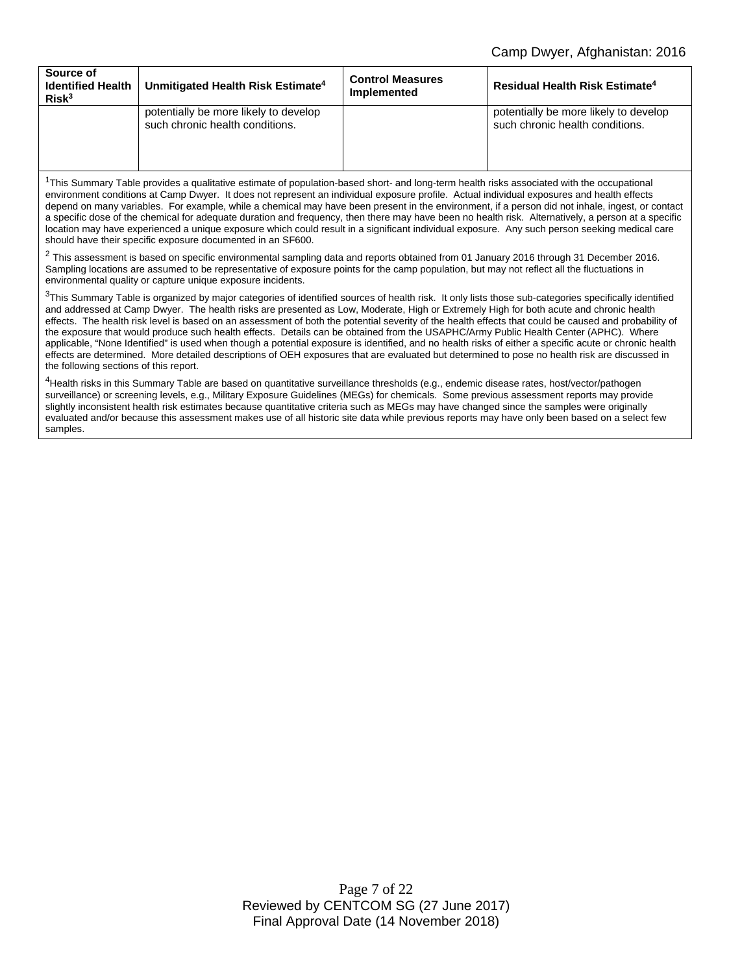| Source of<br><b>Identified Health</b><br>Risk <sup>3</sup> | Unmitigated Health Risk Estimate <sup>4</sup>                            | <b>Control Measures</b><br>Implemented | <b>Residual Health Risk Estimate<sup>4</sup></b>                         |
|------------------------------------------------------------|--------------------------------------------------------------------------|----------------------------------------|--------------------------------------------------------------------------|
|                                                            | potentially be more likely to develop<br>such chronic health conditions. |                                        | potentially be more likely to develop<br>such chronic health conditions. |

 $1$ This Summary Table provides a qualitative estimate of population-based short- and long-term health risks associated with the occupational environment conditions at Camp Dwyer. It does not represent an individual exposure profile. Actual individual exposures and health effects depend on many variables. For example, while a chemical may have been present in the environment, if a person did not inhale, ingest, or contact a specific dose of the chemical for adequate duration and frequency, then there may have been no health risk. Alternatively, a person at a specific location may have experienced a unique exposure which could result in a significant individual exposure. Any such person seeking medical care should have their specific exposure documented in an SF600.

 $2$  This assessment is based on specific environmental sampling data and reports obtained from 01 January 2016 through 31 December 2016. Sampling locations are assumed to be representative of exposure points for the camp population, but may not reflect all the fluctuations in environmental quality or capture unique exposure incidents.

 $3$ This Summary Table is organized by major categories of identified sources of health risk. It only lists those sub-categories specifically identified and addressed at Camp Dwyer. The health risks are presented as Low, Moderate, High or Extremely High for both acute and chronic health effects. The health risk level is based on an assessment of both the potential severity of the health effects that could be caused and probability of the exposure that would produce such health effects. Details can be obtained from the USAPHC/Army Public Health Center (APHC). Where applicable, "None Identified" is used when though a potential exposure is identified, and no health risks of either a specific acute or chronic health effects are determined. More detailed descriptions of OEH exposures that are evaluated but determined to pose no health risk are discussed in the following sections of this report.

<sup>4</sup>Health risks in this Summary Table are based on quantitative surveillance thresholds (e.g., endemic disease rates, host/vector/pathogen surveillance) or screening levels, e.g., Military Exposure Guidelines (MEGs) for chemicals*.* Some previous assessment reports may provide slightly inconsistent health risk estimates because quantitative criteria such as MEGs may have changed since the samples were originally evaluated and/or because this assessment makes use of all historic site data while previous reports may have only been based on a select few samples.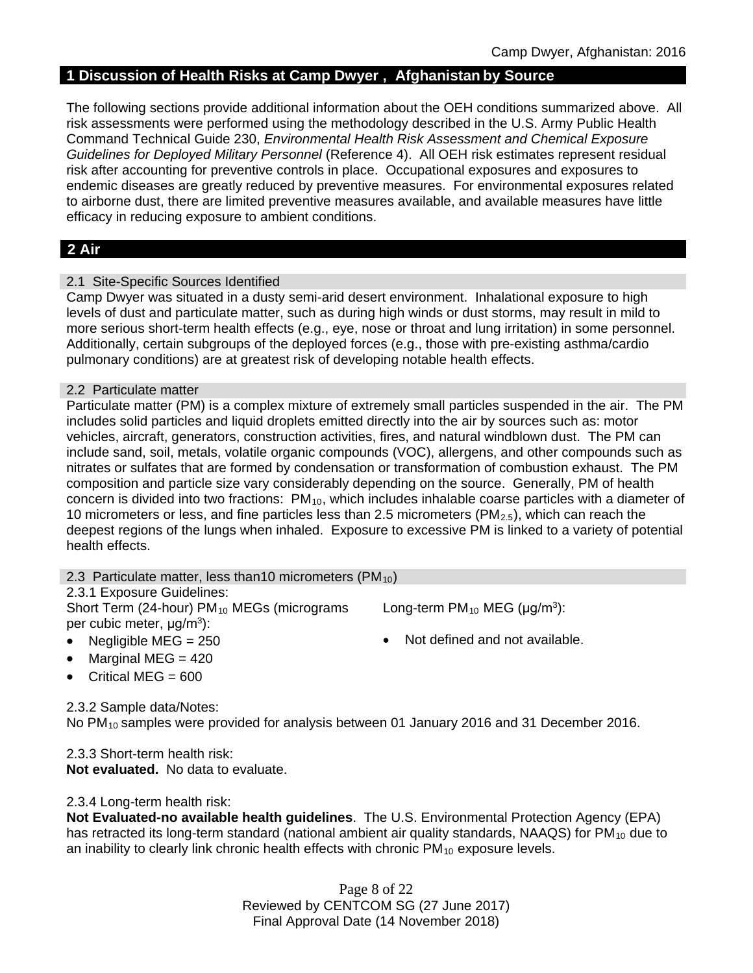### **1 Discussion of Health Risks at Camp Dwyer , Afghanistan by Source**

The following sections provide additional information about the OEH conditions summarized above. All risk assessments were performed using the methodology described in the U.S. Army Public Health Command Technical Guide 230, *Environmental Health Risk Assessment and Chemical Exposure Guidelines for Deployed Military Personnel* (Reference 4). All OEH risk estimates represent residual risk after accounting for preventive controls in place. Occupational exposures and exposures to endemic diseases are greatly reduced by preventive measures. For environmental exposures related to airborne dust, there are limited preventive measures available, and available measures have little efficacy in reducing exposure to ambient conditions.

# **2 Air**

### 2.1 Site-Specific Sources Identified

Camp Dwyer was situated in a dusty semi-arid desert environment. Inhalational exposure to high levels of dust and particulate matter, such as during high winds or dust storms, may result in mild to more serious short-term health effects (e.g., eye, nose or throat and lung irritation) in some personnel. Additionally, certain subgroups of the deployed forces (e.g., those with pre-existing asthma/cardio pulmonary conditions) are at greatest risk of developing notable health effects.

### 2.2 Particulate matter

Particulate matter (PM) is a complex mixture of extremely small particles suspended in the air. The PM includes solid particles and liquid droplets emitted directly into the air by sources such as: motor vehicles, aircraft, generators, construction activities, fires, and natural windblown dust. The PM can include sand, soil, metals, volatile organic compounds (VOC), allergens, and other compounds such as nitrates or sulfates that are formed by condensation or transformation of combustion exhaust. The PM composition and particle size vary considerably depending on the source. Generally, PM of health concern is divided into two fractions: PM<sub>10</sub>, which includes inhalable coarse particles with a diameter of 10 micrometers or less, and fine particles less than 2.5 micrometers ( $PM_{2.5}$ ), which can reach the deepest regions of the lungs when inhaled. Exposure to excessive PM is linked to a variety of potential health effects.

### 2.3 Particulate matter, less than 10 micrometers (PM $_{10}$ )

### 2.3.1 Exposure Guidelines:

Short Term (24-hour) PM<sub>10</sub> MEGs (micrograms per cubic meter, μg/m3):

Long-term  $PM_{10}$  MEG ( $\mu$ g/m<sup>3</sup>):

- Negligible MEG = 250 **•** Not defined and not available.
- Marginal MEG = 420
- Critical MEG  $= 600$

2.3.2 Sample data/Notes:

No PM<sub>10</sub> samples were provided for analysis between 01 January 2016 and 31 December 2016.

2.3.3 Short-term health risk: **Not evaluated.** No data to evaluate.

2.3.4 Long-term health risk:

**Not Evaluated-no available health guidelines**. The U.S. Environmental Protection Agency (EPA) has retracted its long-term standard (national ambient air quality standards, NAAQS) for  $PM_{10}$  due to an inability to clearly link chronic health effects with chronic  $PM_{10}$  exposure levels.

> Page 8 of 22 Reviewed by CENTCOM SG (27 June 2017) Final Approval Date (14 November 2018)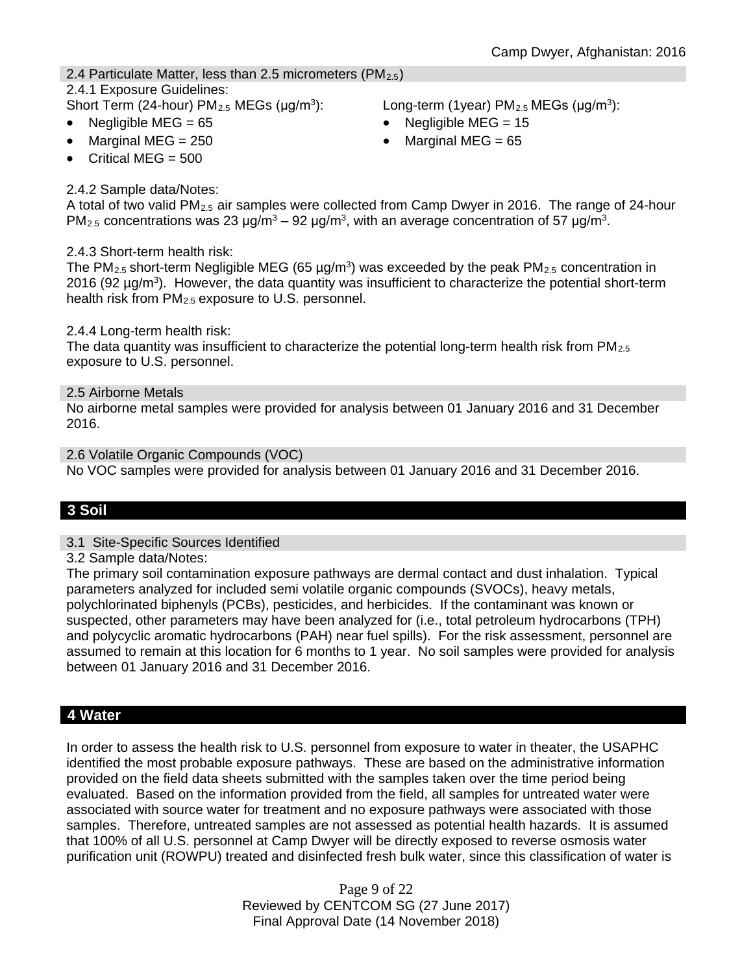# 2.4 Particulate Matter, less than 2.5 micrometers (PM $_{2.5}$ )

# 2.4.1 Exposure Guidelines:

- 
- 

Marginal MEG =  $250$  • Marginal MEG =  $65$ 

Short Term (24-hour) PM<sub>2.5</sub> MEGs ( $\mu$ g/m<sup>3</sup>): Long-term (1year) PM<sub>2.5</sub> MEGs ( $\mu$ g/m<sup>3</sup>):

- Negligible MEG = 65 Negligible MEG = 15
	-

Critical MEG  $= 500$ 

### 2.4.2 Sample data/Notes:

A total of two valid  $PM_{2.5}$  air samples were collected from Camp Dwyer in 2016. The range of 24-hour PM<sub>2.5</sub> concentrations was 23 μg/m<sup>3</sup> – 92 μg/m<sup>3</sup>, with an average concentration of 57 μg/m<sup>3</sup>.

### 2.4.3 Short-term health risk:

The PM<sub>2.5</sub> short-term Negligible MEG (65  $\mu$ g/m<sup>3</sup>) was exceeded by the peak PM<sub>2.5</sub> concentration in 2016 (92  $\mu$ g/m<sup>3</sup>). However, the data quantity was insufficient to characterize the potential short-term health risk from PM<sub>2.5</sub> exposure to U.S. personnel.

2.4.4 Long-term health risk:

The data quantity was insufficient to characterize the potential long-term health risk from  $PM_{2.5}$ exposure to U.S. personnel.

2.5 Airborne Metals

No airborne metal samples were provided for analysis between 01 January 2016 and 31 December 2016.

2.6 Volatile Organic Compounds (VOC) No VOC samples were provided for analysis between 01 January 2016 and 31 December 2016.

# **3 Soil**

### 3.1 Site-Specific Sources Identified

3.2 Sample data/Notes:

The primary soil contamination exposure pathways are dermal contact and dust inhalation. Typical parameters analyzed for included semi volatile organic compounds (SVOCs), heavy metals, polychlorinated biphenyls (PCBs), pesticides, and herbicides. If the contaminant was known or suspected, other parameters may have been analyzed for (i.e., total petroleum hydrocarbons (TPH) and polycyclic aromatic hydrocarbons (PAH) near fuel spills). For the risk assessment, personnel are assumed to remain at this location for 6 months to 1 year. No soil samples were provided for analysis between 01 January 2016 and 31 December 2016.

# **4 Water**

In order to assess the health risk to U.S. personnel from exposure to water in theater, the USAPHC identified the most probable exposure pathways. These are based on the administrative information provided on the field data sheets submitted with the samples taken over the time period being evaluated. Based on the information provided from the field, all samples for untreated water were associated with source water for treatment and no exposure pathways were associated with those samples. Therefore, untreated samples are not assessed as potential health hazards. It is assumed that 100% of all U.S. personnel at Camp Dwyer will be directly exposed to reverse osmosis water purification unit (ROWPU) treated and disinfected fresh bulk water, since this classification of water is

> Page 9 of 22 Reviewed by CENTCOM SG (27 June 2017) Final Approval Date (14 November 2018)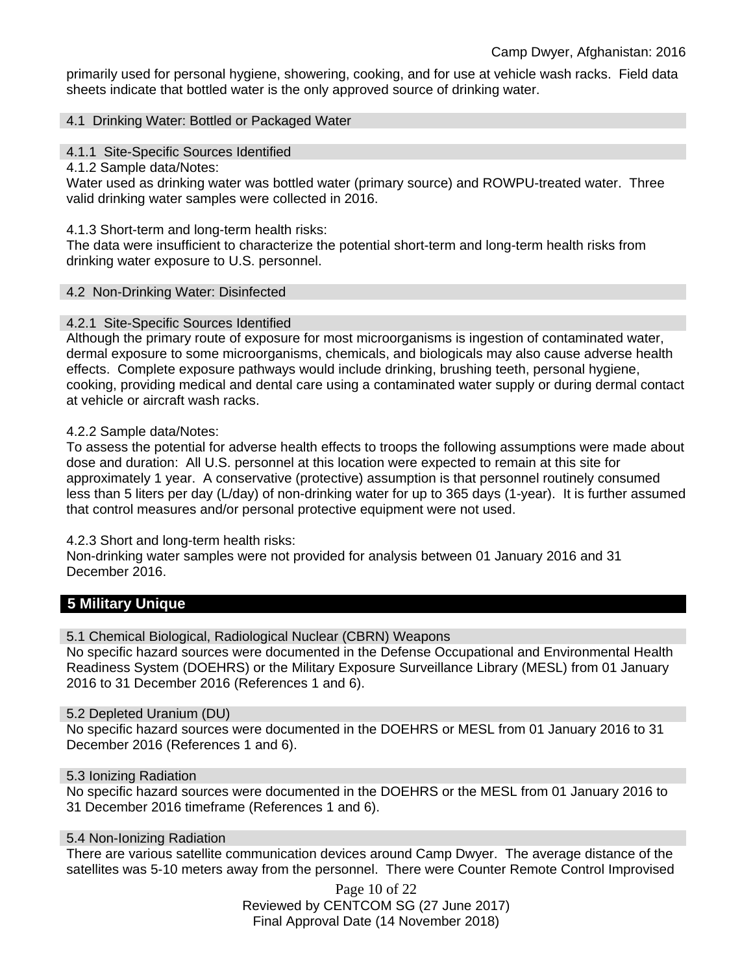primarily used for personal hygiene, showering, cooking, and for use at vehicle wash racks. Field data sheets indicate that bottled water is the only approved source of drinking water.

#### 4.1 Drinking Water: Bottled or Packaged Water

4.1.1 Site-Specific Sources Identified

4.1.2 Sample data/Notes:

Water used as drinking water was bottled water (primary source) and ROWPU-treated water. Three valid drinking water samples were collected in 2016.

#### 4.1.3 Short-term and long-term health risks:

The data were insufficient to characterize the potential short-term and long-term health risks from drinking water exposure to U.S. personnel.

#### 4.2 Non-Drinking Water: Disinfected

### 4.2.1 Site-Specific Sources Identified

Although the primary route of exposure for most microorganisms is ingestion of contaminated water, dermal exposure to some microorganisms, chemicals, and biologicals may also cause adverse health effects. Complete exposure pathways would include drinking, brushing teeth, personal hygiene, cooking, providing medical and dental care using a contaminated water supply or during dermal contact at vehicle or aircraft wash racks.

#### 4.2.2 Sample data/Notes:

To assess the potential for adverse health effects to troops the following assumptions were made about dose and duration: All U.S. personnel at this location were expected to remain at this site for approximately 1 year. A conservative (protective) assumption is that personnel routinely consumed less than 5 liters per day (L/day) of non-drinking water for up to 365 days (1-year). It is further assumed that control measures and/or personal protective equipment were not used.

### 4.2.3 Short and long-term health risks:

Non-drinking water samples were not provided for analysis between 01 January 2016 and 31 December 2016.

# **5 Military Unique**

5.1 Chemical Biological, Radiological Nuclear (CBRN) Weapons

No specific hazard sources were documented in the Defense Occupational and Environmental Health Readiness System (DOEHRS) or the Military Exposure Surveillance Library (MESL) from 01 January 2016 to 31 December 2016 (References 1 and 6).

### 5.2 Depleted Uranium (DU)

No specific hazard sources were documented in the DOEHRS or MESL from 01 January 2016 to 31 December 2016 (References 1 and 6).

### 5.3 Ionizing Radiation

No specific hazard sources were documented in the DOEHRS or the MESL from 01 January 2016 to 31 December 2016 timeframe (References 1 and 6).

### 5.4 Non-Ionizing Radiation

There are various satellite communication devices around Camp Dwyer. The average distance of the satellites was 5-10 meters away from the personnel. There were Counter Remote Control Improvised

> Page 10 of 22 Reviewed by CENTCOM SG (27 June 2017) Final Approval Date (14 November 2018)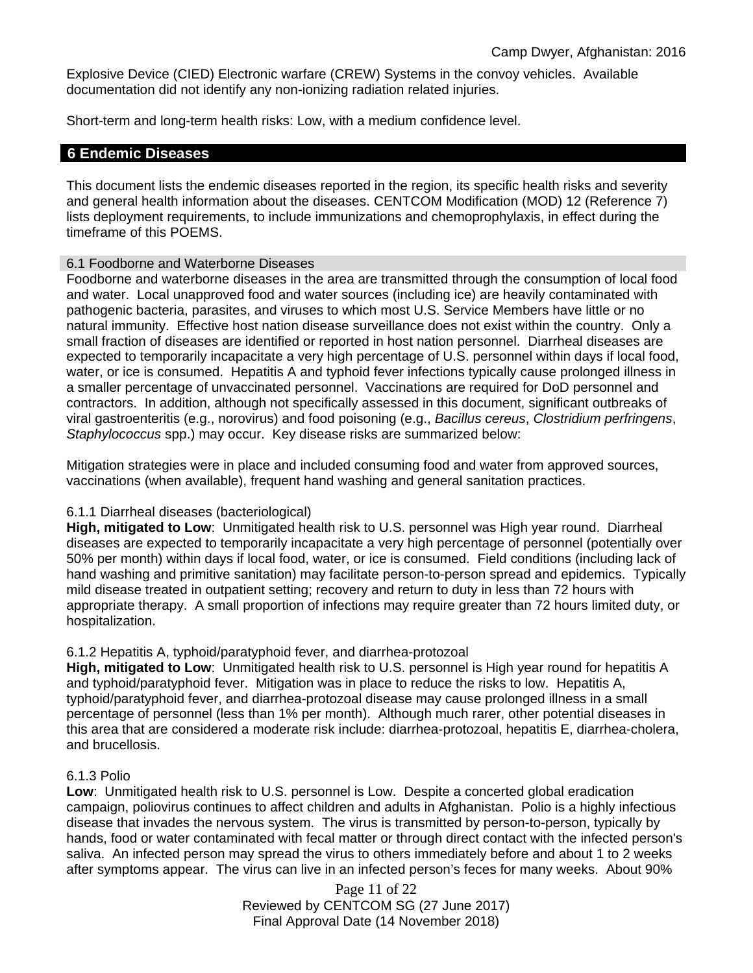Explosive Device (CIED) Electronic warfare (CREW) Systems in the convoy vehicles. Available documentation did not identify any non-ionizing radiation related injuries.

Short-term and long-term health risks: Low, with a medium confidence level.

### **6 Endemic Diseases**

This document lists the endemic diseases reported in the region, its specific health risks and severity and general health information about the diseases. CENTCOM Modification (MOD) 12 (Reference 7) lists deployment requirements, to include immunizations and chemoprophylaxis, in effect during the timeframe of this POEMS.

#### 6.1 Foodborne and Waterborne Diseases

Foodborne and waterborne diseases in the area are transmitted through the consumption of local food and water. Local unapproved food and water sources (including ice) are heavily contaminated with pathogenic bacteria, parasites, and viruses to which most U.S. Service Members have little or no natural immunity. Effective host nation disease surveillance does not exist within the country. Only a small fraction of diseases are identified or reported in host nation personnel. Diarrheal diseases are expected to temporarily incapacitate a very high percentage of U.S. personnel within days if local food, water, or ice is consumed. Hepatitis A and typhoid fever infections typically cause prolonged illness in a smaller percentage of unvaccinated personnel. Vaccinations are required for DoD personnel and contractors. In addition, although not specifically assessed in this document, significant outbreaks of viral gastroenteritis (e.g., norovirus) and food poisoning (e.g., *Bacillus cereus*, *Clostridium perfringens*, *Staphylococcus* spp.) may occur. Key disease risks are summarized below:

Mitigation strategies were in place and included consuming food and water from approved sources, vaccinations (when available), frequent hand washing and general sanitation practices.

#### 6.1.1 Diarrheal diseases (bacteriological)

**High, mitigated to Low**: Unmitigated health risk to U.S. personnel was High year round. Diarrheal diseases are expected to temporarily incapacitate a very high percentage of personnel (potentially over 50% per month) within days if local food, water, or ice is consumed. Field conditions (including lack of hand washing and primitive sanitation) may facilitate person-to-person spread and epidemics. Typically mild disease treated in outpatient setting; recovery and return to duty in less than 72 hours with appropriate therapy. A small proportion of infections may require greater than 72 hours limited duty, or hospitalization.

### 6.1.2 Hepatitis A, typhoid/paratyphoid fever, and diarrhea-protozoal

**High, mitigated to Low**: Unmitigated health risk to U.S. personnel is High year round for hepatitis A and typhoid/paratyphoid fever. Mitigation was in place to reduce the risks to low. Hepatitis A, typhoid/paratyphoid fever, and diarrhea-protozoal disease may cause prolonged illness in a small percentage of personnel (less than 1% per month). Although much rarer, other potential diseases in this area that are considered a moderate risk include: diarrhea-protozoal, hepatitis E, diarrhea-cholera, and brucellosis.

#### 6.1.3 Polio

**Low**: Unmitigated health risk to U.S. personnel is Low. Despite a concerted global eradication campaign, poliovirus continues to affect children and adults in Afghanistan. Polio is a highly infectious disease that invades the nervous system. The virus is transmitted by person-to-person, typically by hands, food or water contaminated with fecal matter or through direct contact with the infected person's saliva. An infected person may spread the virus to others immediately before and about 1 to 2 weeks after symptoms appear. The virus can live in an infected person's feces for many weeks. About 90%

> Page 11 of 22 Reviewed by CENTCOM SG (27 June 2017) Final Approval Date (14 November 2018)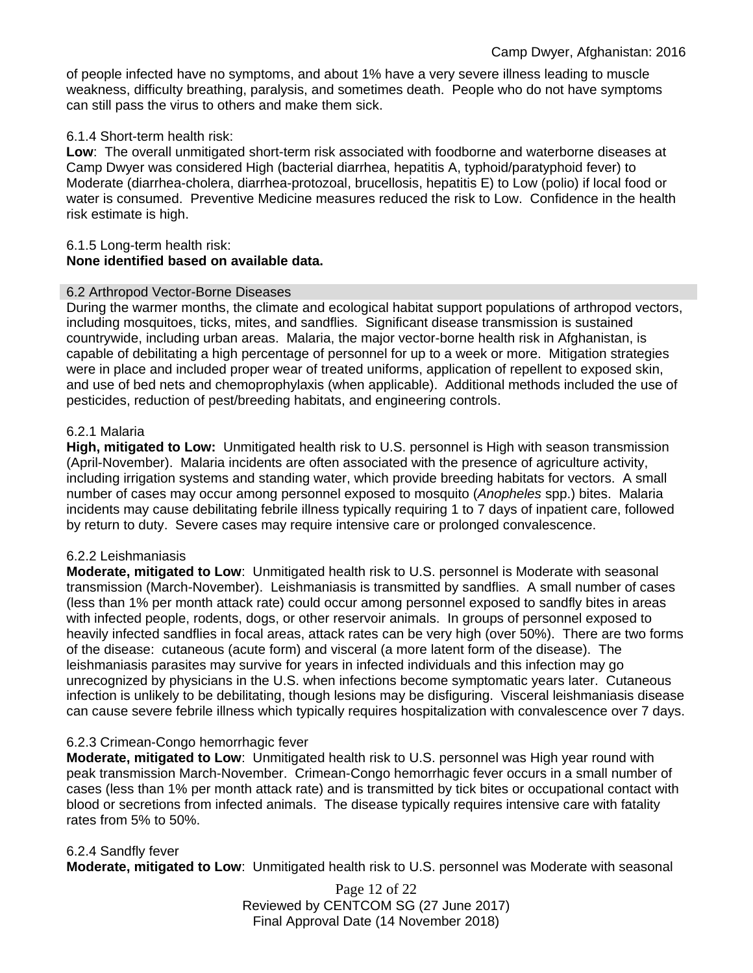of people infected have no symptoms, and about 1% have a very severe illness leading to muscle weakness, difficulty breathing, paralysis, and sometimes death. People who do not have symptoms can still pass the virus to others and make them sick.

### 6.1.4 Short-term health risk:

**Low**: The overall unmitigated short-term risk associated with foodborne and waterborne diseases at Camp Dwyer was considered High (bacterial diarrhea, hepatitis A, typhoid/paratyphoid fever) to Moderate (diarrhea-cholera, diarrhea-protozoal, brucellosis, hepatitis E) to Low (polio) if local food or water is consumed. Preventive Medicine measures reduced the risk to Low. Confidence in the health risk estimate is high.

#### 6.1.5 Long-term health risk: **None identified based on available data.**

#### 6.2 Arthropod Vector-Borne Diseases

During the warmer months, the climate and ecological habitat support populations of arthropod vectors, including mosquitoes, ticks, mites, and sandflies. Significant disease transmission is sustained countrywide, including urban areas. Malaria, the major vector-borne health risk in Afghanistan, is capable of debilitating a high percentage of personnel for up to a week or more. Mitigation strategies were in place and included proper wear of treated uniforms, application of repellent to exposed skin, and use of bed nets and chemoprophylaxis (when applicable). Additional methods included the use of pesticides, reduction of pest/breeding habitats, and engineering controls.

#### 6.2.1 Malaria

**High, mitigated to Low:** Unmitigated health risk to U.S. personnel is High with season transmission (April-November). Malaria incidents are often associated with the presence of agriculture activity, including irrigation systems and standing water, which provide breeding habitats for vectors. A small number of cases may occur among personnel exposed to mosquito (*Anopheles* spp.) bites. Malaria incidents may cause debilitating febrile illness typically requiring 1 to 7 days of inpatient care, followed by return to duty. Severe cases may require intensive care or prolonged convalescence.

#### 6.2.2 Leishmaniasis

**Moderate, mitigated to Low**: Unmitigated health risk to U.S. personnel is Moderate with seasonal transmission (March-November). Leishmaniasis is transmitted by sandflies. A small number of cases (less than 1% per month attack rate) could occur among personnel exposed to sandfly bites in areas with infected people, rodents, dogs, or other reservoir animals. In groups of personnel exposed to heavily infected sandflies in focal areas, attack rates can be very high (over 50%). There are two forms of the disease: cutaneous (acute form) and visceral (a more latent form of the disease). The leishmaniasis parasites may survive for years in infected individuals and this infection may go unrecognized by physicians in the U.S. when infections become symptomatic years later. Cutaneous infection is unlikely to be debilitating, though lesions may be disfiguring. Visceral leishmaniasis disease can cause severe febrile illness which typically requires hospitalization with convalescence over 7 days.

### 6.2.3 Crimean-Congo hemorrhagic fever

**Moderate, mitigated to Low:** Unmitigated health risk to U.S. personnel was High year round with peak transmission March-November. Crimean-Congo hemorrhagic fever occurs in a small number of cases (less than 1% per month attack rate) and is transmitted by tick bites or occupational contact with blood or secretions from infected animals. The disease typically requires intensive care with fatality rates from 5% to 50%.

#### 6.2.4 Sandfly fever

**Moderate, mitigated to Low**: Unmitigated health risk to U.S. personnel was Moderate with seasonal

Page 12 of 22 Reviewed by CENTCOM SG (27 June 2017) Final Approval Date (14 November 2018)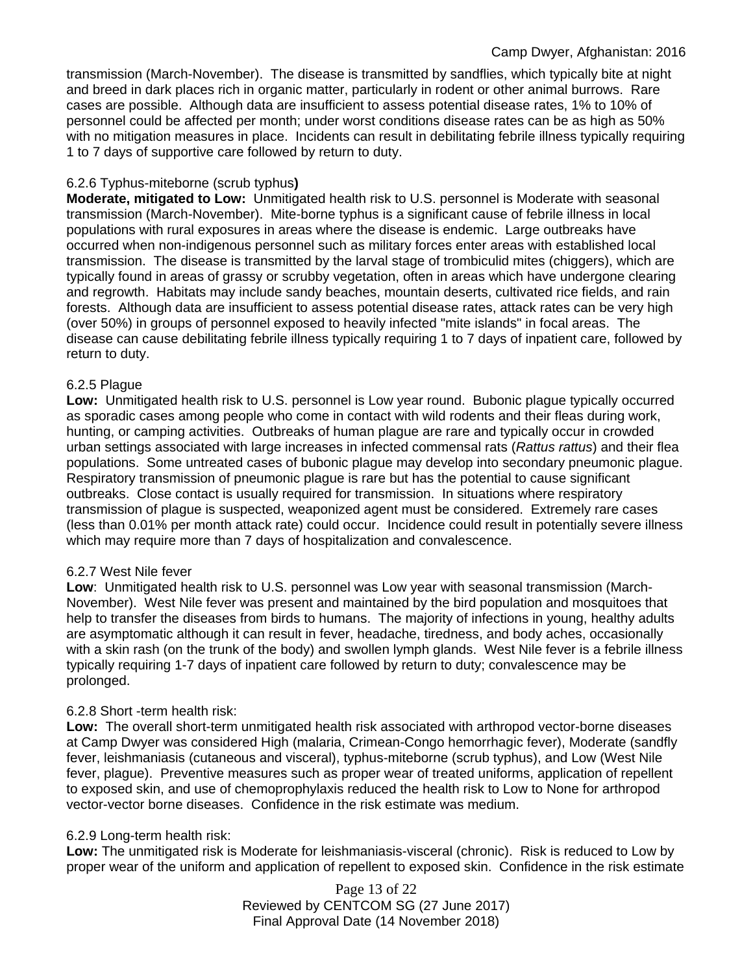#### Camp Dwyer, Afghanistan: 2016

transmission (March-November). The disease is transmitted by sandflies, which typically bite at night and breed in dark places rich in organic matter, particularly in rodent or other animal burrows. Rare cases are possible. Although data are insufficient to assess potential disease rates, 1% to 10% of personnel could be affected per month; under worst conditions disease rates can be as high as 50% with no mitigation measures in place. Incidents can result in debilitating febrile illness typically requiring 1 to 7 days of supportive care followed by return to duty.

#### 6.2.6 Typhus-miteborne (scrub typhus**)**

**Moderate, mitigated to Low:** Unmitigated health risk to U.S. personnel is Moderate with seasonal transmission (March-November). Mite-borne typhus is a significant cause of febrile illness in local populations with rural exposures in areas where the disease is endemic. Large outbreaks have occurred when non-indigenous personnel such as military forces enter areas with established local transmission. The disease is transmitted by the larval stage of trombiculid mites (chiggers), which are typically found in areas of grassy or scrubby vegetation, often in areas which have undergone clearing and regrowth. Habitats may include sandy beaches, mountain deserts, cultivated rice fields, and rain forests. Although data are insufficient to assess potential disease rates, attack rates can be very high (over 50%) in groups of personnel exposed to heavily infected "mite islands" in focal areas. The disease can cause debilitating febrile illness typically requiring 1 to 7 days of inpatient care, followed by return to duty.

#### 6.2.5 Plague

**Low:** Unmitigated health risk to U.S. personnel is Low year round. Bubonic plague typically occurred as sporadic cases among people who come in contact with wild rodents and their fleas during work, hunting, or camping activities. Outbreaks of human plague are rare and typically occur in crowded urban settings associated with large increases in infected commensal rats (*Rattus rattus*) and their flea populations. Some untreated cases of bubonic plague may develop into secondary pneumonic plague. Respiratory transmission of pneumonic plague is rare but has the potential to cause significant outbreaks. Close contact is usually required for transmission. In situations where respiratory transmission of plague is suspected, weaponized agent must be considered. Extremely rare cases (less than 0.01% per month attack rate) could occur. Incidence could result in potentially severe illness which may require more than 7 days of hospitalization and convalescence.

### 6.2.7 West Nile fever

**Low**: Unmitigated health risk to U.S. personnel was Low year with seasonal transmission (March-November). West Nile fever was present and maintained by the bird population and mosquitoes that help to transfer the diseases from birds to humans. The majority of infections in young, healthy adults are asymptomatic although it can result in fever, headache, tiredness, and body aches, occasionally with a skin rash (on the trunk of the body) and swollen lymph glands. West Nile fever is a febrile illness typically requiring 1-7 days of inpatient care followed by return to duty; convalescence may be prolonged.

### 6.2.8 Short -term health risk:

**Low:** The overall short-term unmitigated health risk associated with arthropod vector-borne diseases at Camp Dwyer was considered High (malaria, Crimean-Congo hemorrhagic fever), Moderate (sandfly fever, leishmaniasis (cutaneous and visceral), typhus-miteborne (scrub typhus), and Low (West Nile fever, plague). Preventive measures such as proper wear of treated uniforms, application of repellent to exposed skin, and use of chemoprophylaxis reduced the health risk to Low to None for arthropod vector-vector borne diseases. Confidence in the risk estimate was medium.

### 6.2.9 Long-term health risk:

**Low:** The unmitigated risk is Moderate for leishmaniasis-visceral (chronic). Risk is reduced to Low by proper wear of the uniform and application of repellent to exposed skin. Confidence in the risk estimate

> Page 13 of 22 Reviewed by CENTCOM SG (27 June 2017) Final Approval Date (14 November 2018)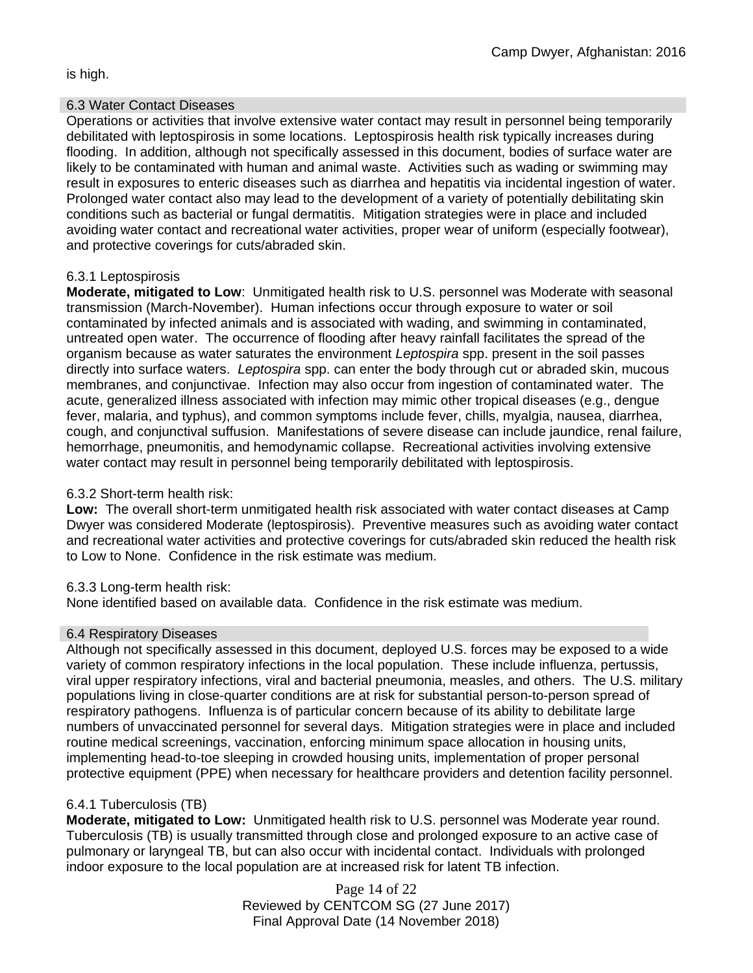is high.

#### 6.3 Water Contact Diseases

Operations or activities that involve extensive water contact may result in personnel being temporarily debilitated with leptospirosis in some locations. Leptospirosis health risk typically increases during flooding. In addition, although not specifically assessed in this document, bodies of surface water are likely to be contaminated with human and animal waste. Activities such as wading or swimming may result in exposures to enteric diseases such as diarrhea and hepatitis via incidental ingestion of water. Prolonged water contact also may lead to the development of a variety of potentially debilitating skin conditions such as bacterial or fungal dermatitis. Mitigation strategies were in place and included avoiding water contact and recreational water activities, proper wear of uniform (especially footwear), and protective coverings for cuts/abraded skin.

### 6.3.1 Leptospirosis

**Moderate, mitigated to Low**: Unmitigated health risk to U.S. personnel was Moderate with seasonal transmission (March-November). Human infections occur through exposure to water or soil contaminated by infected animals and is associated with wading, and swimming in contaminated, untreated open water. The occurrence of flooding after heavy rainfall facilitates the spread of the organism because as water saturates the environment *Leptospira* spp. present in the soil passes directly into surface waters. *Leptospira* spp. can enter the body through cut or abraded skin, mucous membranes, and conjunctivae. Infection may also occur from ingestion of contaminated water. The acute, generalized illness associated with infection may mimic other tropical diseases (e.g., dengue fever, malaria, and typhus), and common symptoms include fever, chills, myalgia, nausea, diarrhea, cough, and conjunctival suffusion. Manifestations of severe disease can include jaundice, renal failure, hemorrhage, pneumonitis, and hemodynamic collapse. Recreational activities involving extensive water contact may result in personnel being temporarily debilitated with leptospirosis.

### 6.3.2 Short-term health risk:

**Low:** The overall short-term unmitigated health risk associated with water contact diseases at Camp Dwyer was considered Moderate (leptospirosis). Preventive measures such as avoiding water contact and recreational water activities and protective coverings for cuts/abraded skin reduced the health risk to Low to None. Confidence in the risk estimate was medium.

### 6.3.3 Long-term health risk:

None identified based on available data. Confidence in the risk estimate was medium.

### 6.4 Respiratory Diseases

Although not specifically assessed in this document, deployed U.S. forces may be exposed to a wide variety of common respiratory infections in the local population. These include influenza, pertussis, viral upper respiratory infections, viral and bacterial pneumonia, measles, and others. The U.S. military populations living in close-quarter conditions are at risk for substantial person-to-person spread of respiratory pathogens. Influenza is of particular concern because of its ability to debilitate large numbers of unvaccinated personnel for several days. Mitigation strategies were in place and included routine medical screenings, vaccination, enforcing minimum space allocation in housing units, implementing head-to-toe sleeping in crowded housing units, implementation of proper personal protective equipment (PPE) when necessary for healthcare providers and detention facility personnel.

### 6.4.1 Tuberculosis (TB)

**Moderate, mitigated to Low:** Unmitigated health risk to U.S. personnel was Moderate year round. Tuberculosis (TB) is usually transmitted through close and prolonged exposure to an active case of pulmonary or laryngeal TB, but can also occur with incidental contact. Individuals with prolonged indoor exposure to the local population are at increased risk for latent TB infection.

> Page 14 of 22 Reviewed by CENTCOM SG (27 June 2017) Final Approval Date (14 November 2018)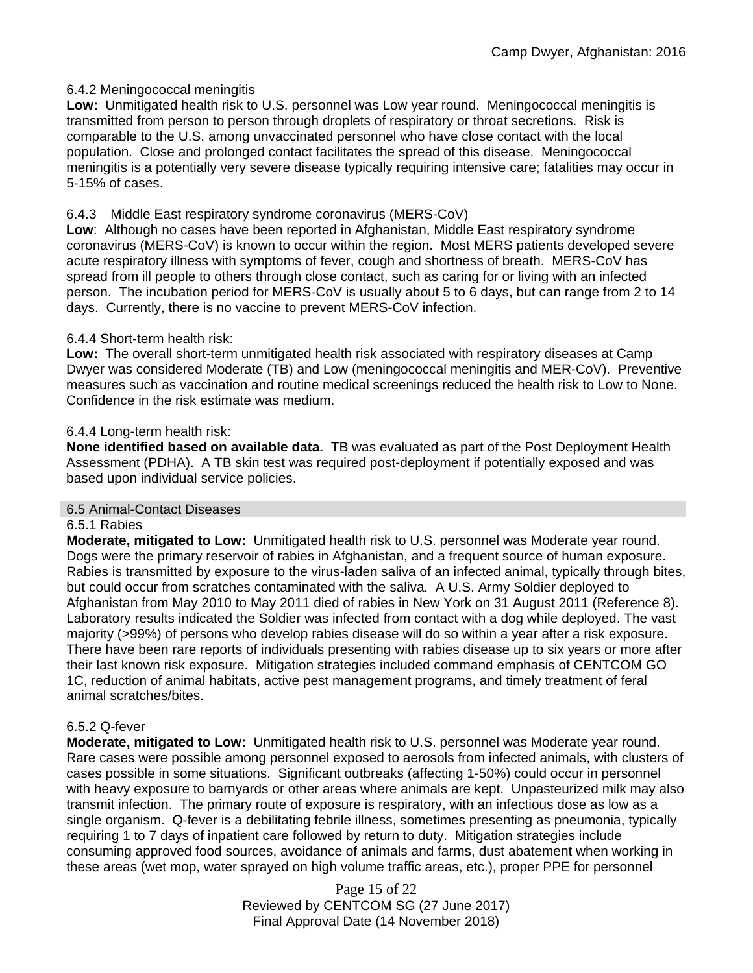### 6.4.2 Meningococcal meningitis

**Low:** Unmitigated health risk to U.S. personnel was Low year round. Meningococcal meningitis is transmitted from person to person through droplets of respiratory or throat secretions. Risk is comparable to the U.S. among unvaccinated personnel who have close contact with the local population. Close and prolonged contact facilitates the spread of this disease. Meningococcal meningitis is a potentially very severe disease typically requiring intensive care; fatalities may occur in 5-15% of cases.

### 6.4.3 Middle East respiratory syndrome coronavirus (MERS-CoV)

**Low**: Although no cases have been reported in Afghanistan, Middle East respiratory syndrome coronavirus (MERS-CoV) is known to occur within the region. Most MERS patients developed severe acute respiratory illness with symptoms of fever, cough and shortness of breath. MERS-CoV has spread from ill people to others through close contact, such as caring for or living with an infected person. The incubation period for MERS-CoV is usually about 5 to 6 days, but can range from 2 to 14 days. Currently, there is no vaccine to prevent MERS-CoV infection.

### 6.4.4 Short-term health risk:

**Low:** The overall short-term unmitigated health risk associated with respiratory diseases at Camp Dwyer was considered Moderate (TB) and Low (meningococcal meningitis and MER-CoV). Preventive measures such as vaccination and routine medical screenings reduced the health risk to Low to None. Confidence in the risk estimate was medium.

#### 6.4.4 Long-term health risk:

**None identified based on available data.** TB was evaluated as part of the Post Deployment Health Assessment (PDHA). A TB skin test was required post-deployment if potentially exposed and was based upon individual service policies.

### 6.5 Animal-Contact Diseases

#### 6.5.1 Rabies

**Moderate, mitigated to Low:** Unmitigated health risk to U.S. personnel was Moderate year round. Dogs were the primary reservoir of rabies in Afghanistan, and a frequent source of human exposure. Rabies is transmitted by exposure to the virus-laden saliva of an infected animal, typically through bites, but could occur from scratches contaminated with the saliva. A U.S. Army Soldier deployed to Afghanistan from May 2010 to May 2011 died of rabies in New York on 31 August 2011 (Reference 8). Laboratory results indicated the Soldier was infected from contact with a dog while deployed. The vast majority (>99%) of persons who develop rabies disease will do so within a year after a risk exposure. There have been rare reports of individuals presenting with rabies disease up to six years or more after their last known risk exposure. Mitigation strategies included command emphasis of CENTCOM GO 1C, reduction of animal habitats, active pest management programs, and timely treatment of feral animal scratches/bites.

### 6.5.2 Q-fever

**Moderate, mitigated to Low:** Unmitigated health risk to U.S. personnel was Moderate year round. Rare cases were possible among personnel exposed to aerosols from infected animals, with clusters of cases possible in some situations. Significant outbreaks (affecting 1-50%) could occur in personnel with heavy exposure to barnyards or other areas where animals are kept. Unpasteurized milk may also transmit infection. The primary route of exposure is respiratory, with an infectious dose as low as a single organism. Q-fever is a debilitating febrile illness, sometimes presenting as pneumonia, typically requiring 1 to 7 days of inpatient care followed by return to duty. Mitigation strategies include consuming approved food sources, avoidance of animals and farms, dust abatement when working in these areas (wet mop, water sprayed on high volume traffic areas, etc.), proper PPE for personnel

> Page 15 of 22 Reviewed by CENTCOM SG (27 June 2017) Final Approval Date (14 November 2018)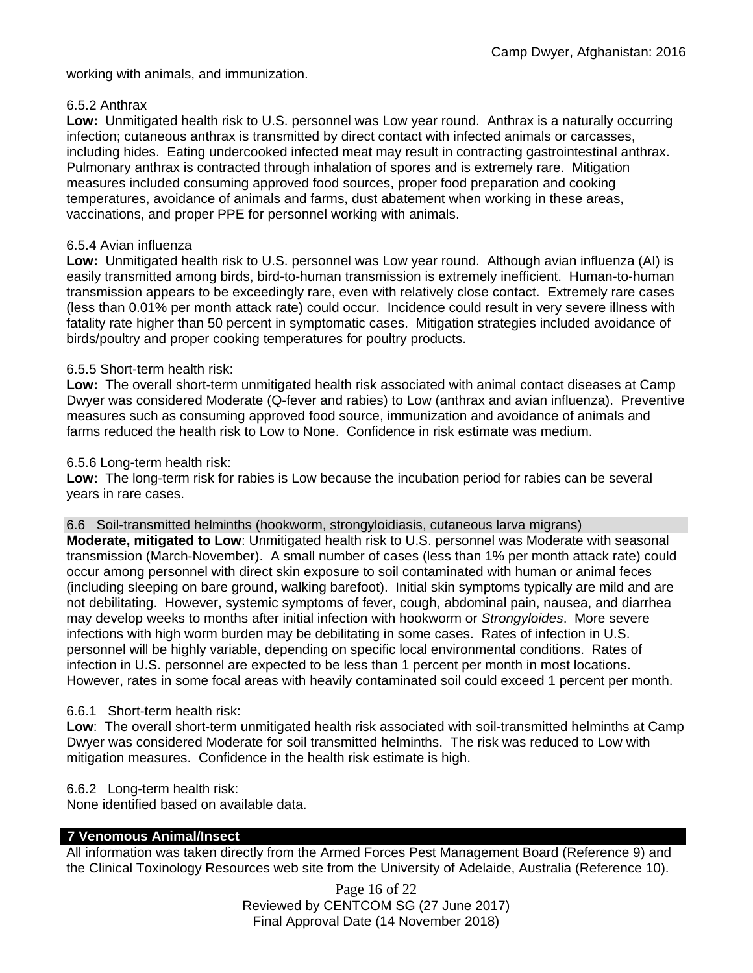working with animals, and immunization.

#### 6.5.2 Anthrax

**Low:** Unmitigated health risk to U.S. personnel was Low year round. Anthrax is a naturally occurring infection; cutaneous anthrax is transmitted by direct contact with infected animals or carcasses, including hides. Eating undercooked infected meat may result in contracting gastrointestinal anthrax. Pulmonary anthrax is contracted through inhalation of spores and is extremely rare. Mitigation measures included consuming approved food sources, proper food preparation and cooking temperatures, avoidance of animals and farms, dust abatement when working in these areas, vaccinations, and proper PPE for personnel working with animals.

### 6.5.4 Avian influenza

**Low:** Unmitigated health risk to U.S. personnel was Low year round. Although avian influenza (AI) is easily transmitted among birds, bird-to-human transmission is extremely inefficient. Human-to-human transmission appears to be exceedingly rare, even with relatively close contact. Extremely rare cases (less than 0.01% per month attack rate) could occur. Incidence could result in very severe illness with fatality rate higher than 50 percent in symptomatic cases. Mitigation strategies included avoidance of birds/poultry and proper cooking temperatures for poultry products.

### 6.5.5 Short-term health risk:

**Low:** The overall short-term unmitigated health risk associated with animal contact diseases at Camp Dwyer was considered Moderate (Q-fever and rabies) to Low (anthrax and avian influenza). Preventive measures such as consuming approved food source, immunization and avoidance of animals and farms reduced the health risk to Low to None. Confidence in risk estimate was medium.

#### 6.5.6 Long-term health risk:

**Low:** The long-term risk for rabies is Low because the incubation period for rabies can be several years in rare cases.

6.6 Soil-transmitted helminths (hookworm, strongyloidiasis, cutaneous larva migrans)

**Moderate, mitigated to Low**: Unmitigated health risk to U.S. personnel was Moderate with seasonal transmission (March-November). A small number of cases (less than 1% per month attack rate) could occur among personnel with direct skin exposure to soil contaminated with human or animal feces (including sleeping on bare ground, walking barefoot). Initial skin symptoms typically are mild and are not debilitating. However, systemic symptoms of fever, cough, abdominal pain, nausea, and diarrhea may develop weeks to months after initial infection with hookworm or *Strongyloides*. More severe infections with high worm burden may be debilitating in some cases. Rates of infection in U.S. personnel will be highly variable, depending on specific local environmental conditions. Rates of infection in U.S. personnel are expected to be less than 1 percent per month in most locations. However, rates in some focal areas with heavily contaminated soil could exceed 1 percent per month.

### 6.6.1 Short-term health risk:

**Low**: The overall short-term unmitigated health risk associated with soil-transmitted helminths at Camp Dwyer was considered Moderate for soil transmitted helminths. The risk was reduced to Low with mitigation measures. Confidence in the health risk estimate is high.

#### 6.6.2 Long-term health risk:

None identified based on available data.

### **7 Venomous Animal/Insect**

All information was taken directly from the Armed Forces Pest Management Board (Reference 9) and the Clinical Toxinology Resources web site from the University of Adelaide, Australia (Reference 10).

> Page 16 of 22 Reviewed by CENTCOM SG (27 June 2017) Final Approval Date (14 November 2018)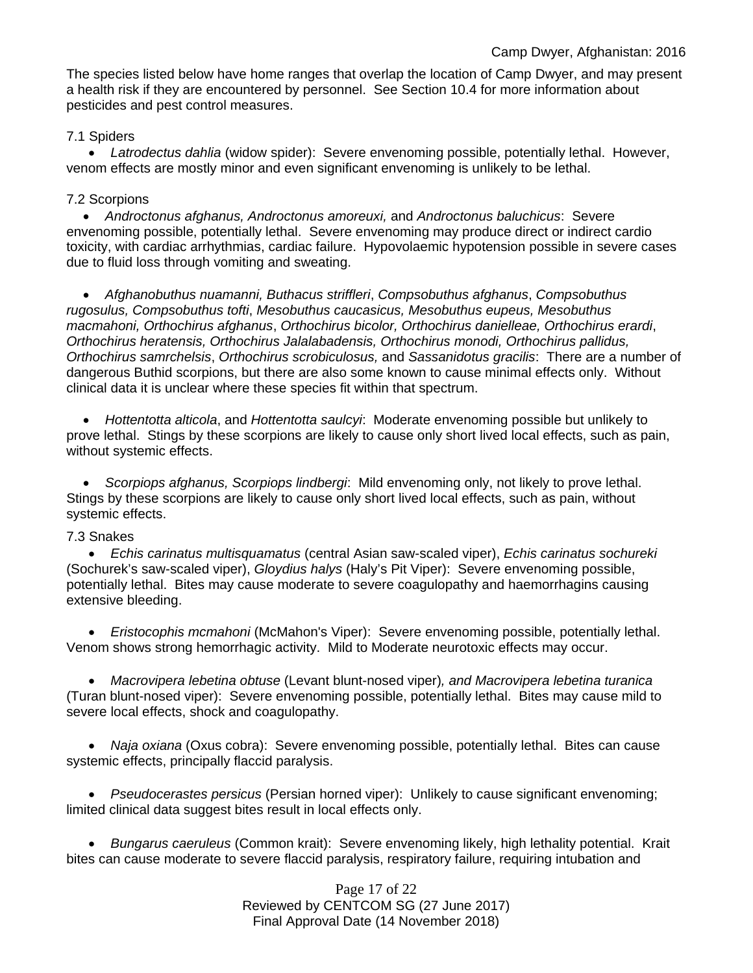The species listed below have home ranges that overlap the location of Camp Dwyer, and may present a health risk if they are encountered by personnel. See Section 10.4 for more information about pesticides and pest control measures.

### 7.1 Spiders

• *Latrodectus dahlia* (widow spider): Severe envenoming possible, potentially lethal. However, venom effects are mostly minor and even significant envenoming is unlikely to be lethal.

### 7.2 Scorpions

• *Androctonus afghanus, Androctonus amoreuxi,* and *Androctonus baluchicus*: Severe envenoming possible, potentially lethal. Severe envenoming may produce direct or indirect cardio toxicity, with cardiac arrhythmias, cardiac failure. Hypovolaemic hypotension possible in severe cases due to fluid loss through vomiting and sweating.

• *Afghanobuthus nuamanni, Buthacus striffleri*, *Compsobuthus afghanus*, *Compsobuthus rugosulus, Compsobuthus tofti*, *Mesobuthus caucasicus, Mesobuthus eupeus, Mesobuthus macmahoni, Orthochirus afghanus*, *Orthochirus bicolor, Orthochirus danielleae, Orthochirus erardi*, *Orthochirus heratensis, Orthochirus Jalalabadensis, Orthochirus monodi, Orthochirus pallidus, Orthochirus samrchelsis*, *Orthochirus scrobiculosus,* and *Sassanidotus gracilis*: There are a number of dangerous Buthid scorpions, but there are also some known to cause minimal effects only. Without clinical data it is unclear where these species fit within that spectrum.

• *Hottentotta alticola*, and *Hottentotta saulcyi*: Moderate envenoming possible but unlikely to prove lethal. Stings by these scorpions are likely to cause only short lived local effects, such as pain, without systemic effects.

• *Scorpiops afghanus, Scorpiops lindbergi*: Mild envenoming only, not likely to prove lethal. Stings by these scorpions are likely to cause only short lived local effects, such as pain, without systemic effects.

### 7.3 Snakes

• *Echis carinatus multisquamatus* (central Asian saw-scaled viper), *Echis carinatus sochureki* (Sochurek's saw-scaled viper), *Gloydius halys* (Haly's Pit Viper): Severe envenoming possible, potentially lethal. Bites may cause moderate to severe coagulopathy and haemorrhagins causing extensive bleeding.

• *Eristocophis mcmahoni* (McMahon's Viper): Severe envenoming possible, potentially lethal. Venom shows strong hemorrhagic activity. Mild to Moderate neurotoxic effects may occur.

• *Macrovipera lebetina obtuse* (Levant blunt-nosed viper)*, and Macrovipera lebetina turanica*  (Turan blunt-nosed viper): Severe envenoming possible, potentially lethal. Bites may cause mild to severe local effects, shock and coagulopathy.

• *Naja oxiana* (Oxus cobra): Severe envenoming possible, potentially lethal. Bites can cause systemic effects, principally flaccid paralysis.

• *Pseudocerastes persicus* (Persian horned viper): Unlikely to cause significant envenoming; limited clinical data suggest bites result in local effects only.

• *Bungarus caeruleus* (Common krait): Severe envenoming likely, high lethality potential. Krait bites can cause moderate to severe flaccid paralysis, respiratory failure, requiring intubation and

> Page 17 of 22 Reviewed by CENTCOM SG (27 June 2017) Final Approval Date (14 November 2018)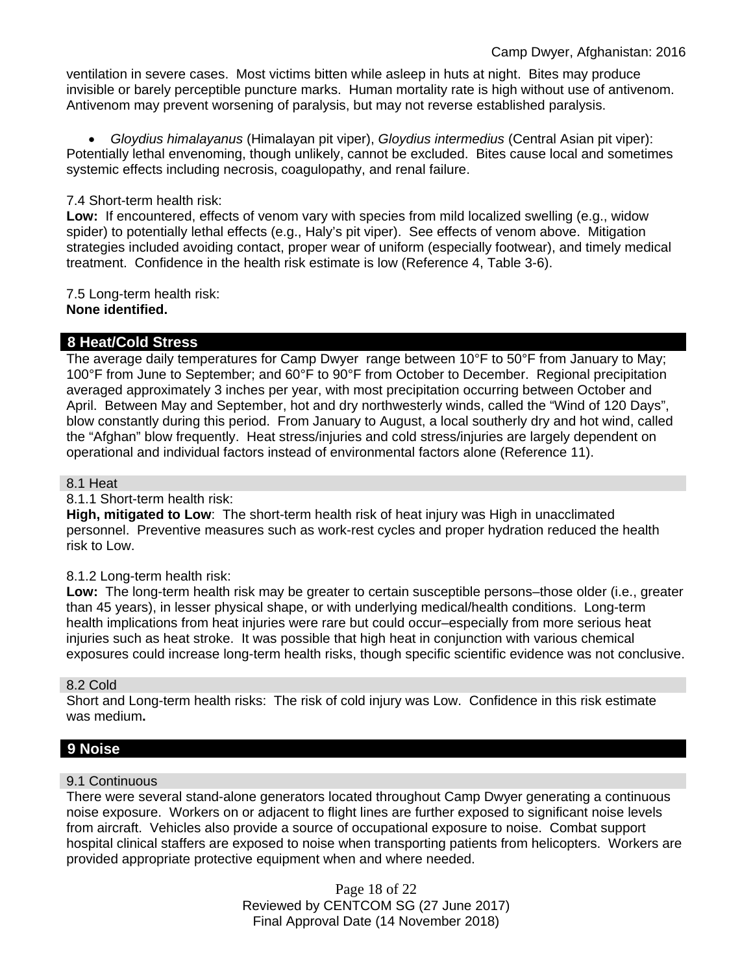ventilation in severe cases. Most victims bitten while asleep in huts at night. Bites may produce invisible or barely perceptible puncture marks. Human mortality rate is high without use of antivenom. Antivenom may prevent worsening of paralysis, but may not reverse established paralysis.

• *Gloydius himalayanus* (Himalayan pit viper), *Gloydius intermedius* (Central Asian pit viper): Potentially lethal envenoming, though unlikely, cannot be excluded. Bites cause local and sometimes systemic effects including necrosis, coagulopathy, and renal failure.

### 7.4 Short-term health risk:

**Low:** If encountered, effects of venom vary with species from mild localized swelling (e.g., widow spider) to potentially lethal effects (e.g., Haly's pit viper). See effects of venom above. Mitigation strategies included avoiding contact, proper wear of uniform (especially footwear), and timely medical treatment. Confidence in the health risk estimate is low (Reference 4, Table 3-6).

#### 7.5 Long-term health risk: **None identified.**

### **8 Heat/Cold Stress**

The average daily temperatures for Camp Dwyer range between 10°F to 50°F from January to May; 100°F from June to September; and 60°F to 90°F from October to December. Regional precipitation averaged approximately 3 inches per year, with most precipitation occurring between October and April. Between May and September, hot and dry northwesterly winds, called the "Wind of 120 Days", blow constantly during this period. From January to August, a local southerly dry and hot wind, called the "Afghan" blow frequently. Heat stress/injuries and cold stress/injuries are largely dependent on operational and individual factors instead of environmental factors alone (Reference 11).

#### 8.1 Heat

8.1.1 Short-term health risk:

**High, mitigated to Low**: The short-term health risk of heat injury was High in unacclimated personnel. Preventive measures such as work-rest cycles and proper hydration reduced the health risk to Low.

#### 8.1.2 Long-term health risk:

**Low:** The long-term health risk may be greater to certain susceptible persons–those older (i.e., greater than 45 years), in lesser physical shape, or with underlying medical/health conditions. Long-term health implications from heat injuries were rare but could occur–especially from more serious heat injuries such as heat stroke. It was possible that high heat in conjunction with various chemical exposures could increase long-term health risks, though specific scientific evidence was not conclusive.

#### 8.2 Cold

Short and Long-term health risks: The risk of cold injury was Low. Confidence in this risk estimate was medium**.**

# **9 Noise**

#### 9.1 Continuous

There were several stand-alone generators located throughout Camp Dwyer generating a continuous noise exposure. Workers on or adjacent to flight lines are further exposed to significant noise levels from aircraft. Vehicles also provide a source of occupational exposure to noise. Combat support hospital clinical staffers are exposed to noise when transporting patients from helicopters. Workers are provided appropriate protective equipment when and where needed.

> Page 18 of 22 Reviewed by CENTCOM SG (27 June 2017) Final Approval Date (14 November 2018)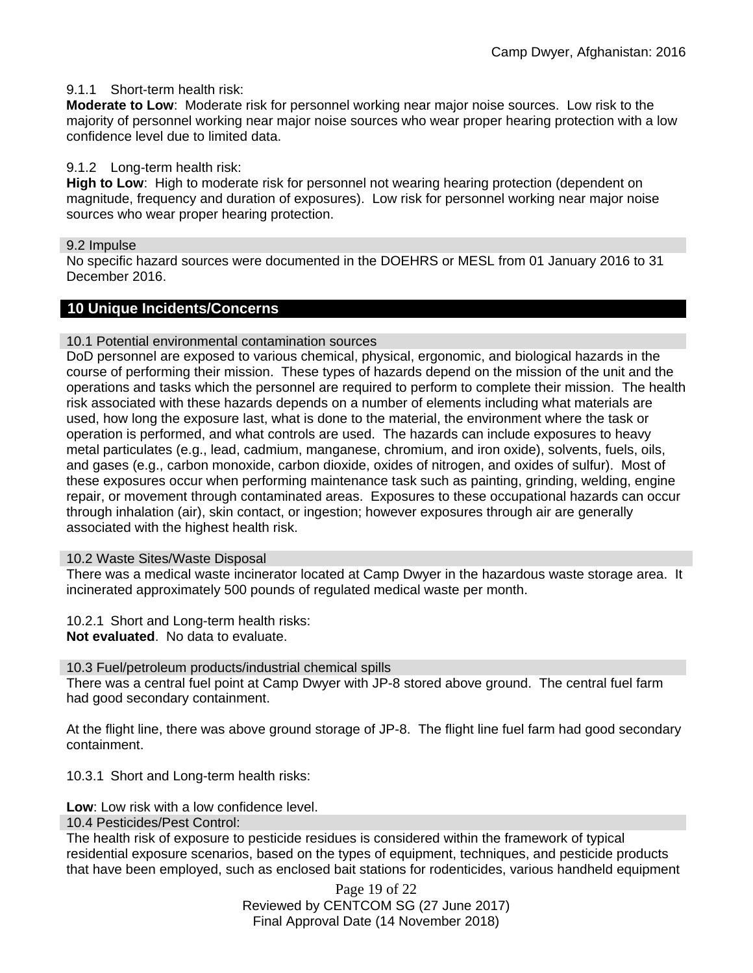### 9.1.1 Short-term health risk:

**Moderate to Low**: Moderate risk for personnel working near major noise sources. Low risk to the majority of personnel working near major noise sources who wear proper hearing protection with a low confidence level due to limited data.

### 9.1.2 Long-term health risk:

**High to Low**: High to moderate risk for personnel not wearing hearing protection (dependent on magnitude, frequency and duration of exposures). Low risk for personnel working near major noise sources who wear proper hearing protection.

#### 9.2 Impulse

No specific hazard sources were documented in the DOEHRS or MESL from 01 January 2016 to 31 December 2016.

### **10 Unique Incidents/Concerns**

#### 10.1 Potential environmental contamination sources

DoD personnel are exposed to various chemical, physical, ergonomic, and biological hazards in the course of performing their mission. These types of hazards depend on the mission of the unit and the operations and tasks which the personnel are required to perform to complete their mission. The health risk associated with these hazards depends on a number of elements including what materials are used, how long the exposure last, what is done to the material, the environment where the task or operation is performed, and what controls are used. The hazards can include exposures to heavy metal particulates (e.g., lead, cadmium, manganese, chromium, and iron oxide), solvents, fuels, oils, and gases (e.g., carbon monoxide, carbon dioxide, oxides of nitrogen, and oxides of sulfur). Most of these exposures occur when performing maintenance task such as painting, grinding, welding, engine repair, or movement through contaminated areas. Exposures to these occupational hazards can occur through inhalation (air), skin contact, or ingestion; however exposures through air are generally associated with the highest health risk.

#### 10.2 Waste Sites/Waste Disposal

There was a medical waste incinerator located at Camp Dwyer in the hazardous waste storage area. It incinerated approximately 500 pounds of regulated medical waste per month.

10.2.1 Short and Long-term health risks:

**Not evaluated**. No data to evaluate.

#### 10.3 Fuel/petroleum products/industrial chemical spills

There was a central fuel point at Camp Dwyer with JP-8 stored above ground. The central fuel farm had good secondary containment.

At the flight line, there was above ground storage of JP-8. The flight line fuel farm had good secondary containment.

10.3.1 Short and Long-term health risks:

**Low**: Low risk with a low confidence level.

10.4 Pesticides/Pest Control:

The health risk of exposure to pesticide residues is considered within the framework of typical residential exposure scenarios, based on the types of equipment, techniques, and pesticide products that have been employed, such as enclosed bait stations for rodenticides, various handheld equipment

> Page 19 of 22 Reviewed by CENTCOM SG (27 June 2017) Final Approval Date (14 November 2018)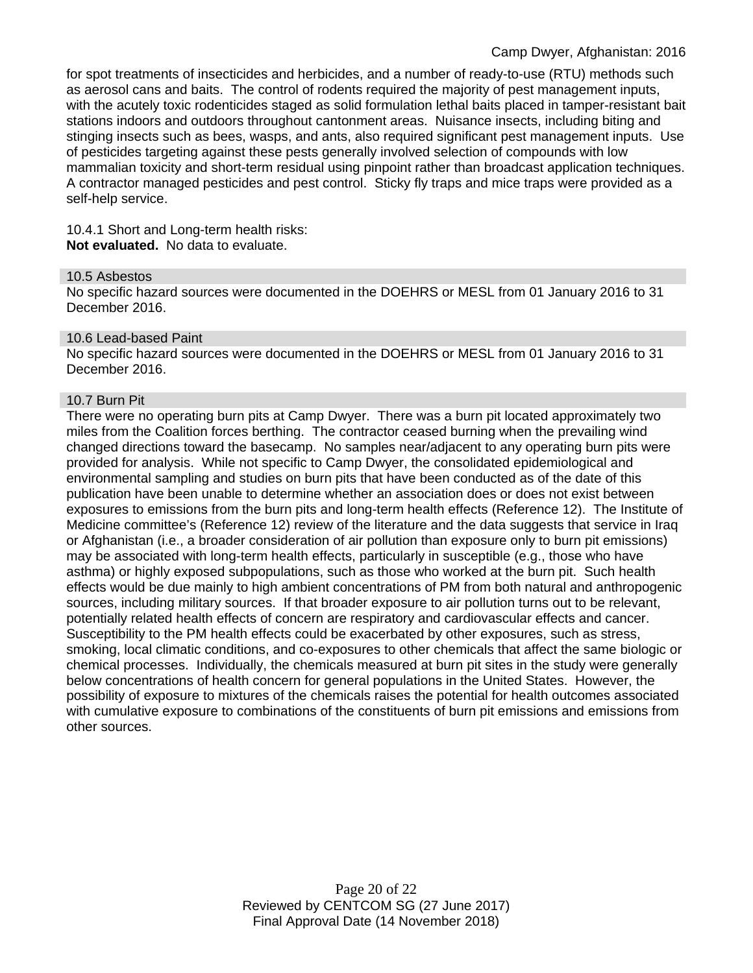for spot treatments of insecticides and herbicides, and a number of ready-to-use (RTU) methods such as aerosol cans and baits. The control of rodents required the majority of pest management inputs, with the acutely toxic rodenticides staged as solid formulation lethal baits placed in tamper-resistant bait stations indoors and outdoors throughout cantonment areas. Nuisance insects, including biting and stinging insects such as bees, wasps, and ants, also required significant pest management inputs. Use of pesticides targeting against these pests generally involved selection of compounds with low mammalian toxicity and short-term residual using pinpoint rather than broadcast application techniques. A contractor managed pesticides and pest control. Sticky fly traps and mice traps were provided as a self-help service.

10.4.1 Short and Long-term health risks: **Not evaluated.** No data to evaluate.

#### 10.5 Asbestos

No specific hazard sources were documented in the DOEHRS or MESL from 01 January 2016 to 31 December 2016.

#### 10.6 Lead-based Paint

No specific hazard sources were documented in the DOEHRS or MESL from 01 January 2016 to 31 December 2016.

#### 10.7 Burn Pit

There were no operating burn pits at Camp Dwyer. There was a burn pit located approximately two miles from the Coalition forces berthing. The contractor ceased burning when the prevailing wind changed directions toward the basecamp. No samples near/adjacent to any operating burn pits were provided for analysis. While not specific to Camp Dwyer, the consolidated epidemiological and environmental sampling and studies on burn pits that have been conducted as of the date of this publication have been unable to determine whether an association does or does not exist between exposures to emissions from the burn pits and long-term health effects (Reference 12). The Institute of Medicine committee's (Reference 12) review of the literature and the data suggests that service in Iraq or Afghanistan (i.e., a broader consideration of air pollution than exposure only to burn pit emissions) may be associated with long-term health effects, particularly in susceptible (e.g., those who have asthma) or highly exposed subpopulations, such as those who worked at the burn pit. Such health effects would be due mainly to high ambient concentrations of PM from both natural and anthropogenic sources, including military sources. If that broader exposure to air pollution turns out to be relevant, potentially related health effects of concern are respiratory and cardiovascular effects and cancer. Susceptibility to the PM health effects could be exacerbated by other exposures, such as stress, smoking, local climatic conditions, and co-exposures to other chemicals that affect the same biologic or chemical processes. Individually, the chemicals measured at burn pit sites in the study were generally below concentrations of health concern for general populations in the United States. However, the possibility of exposure to mixtures of the chemicals raises the potential for health outcomes associated with cumulative exposure to combinations of the constituents of burn pit emissions and emissions from other sources.

> Page 20 of 22 Reviewed by CENTCOM SG (27 June 2017) Final Approval Date (14 November 2018)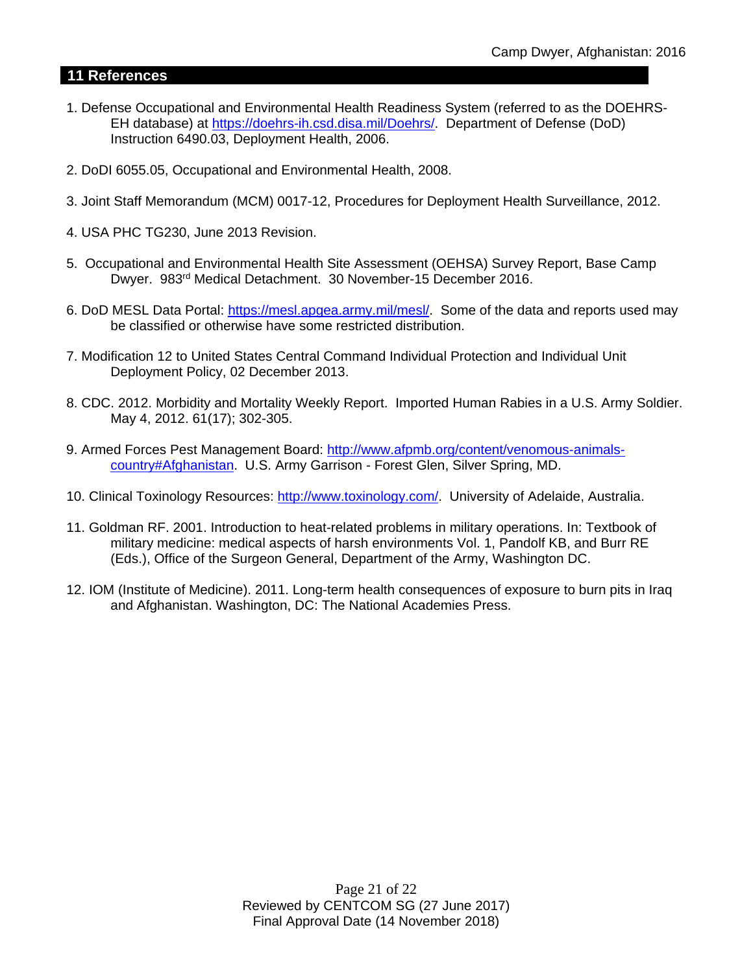# **11 References**

- 1. Defense Occupational and Environmental Health Readiness System (referred to as the DOEHRS-EH database) at [https://doehrs-ih.csd.disa.mil/Doehrs/.](https://doehrs-ih.csd.disa.mil/Doehrs/) Department of Defense (DoD) Instruction 6490.03, Deployment Health, 2006.
- 2. DoDI 6055.05, Occupational and Environmental Health, 2008.
- 3. Joint Staff Memorandum (MCM) 0017-12, Procedures for Deployment Health Surveillance, 2012.
- 4. USA PHC TG230, June 2013 Revision.
- 5. Occupational and Environmental Health Site Assessment (OEHSA) Survey Report, Base Camp Dwyer. 983rd Medical Detachment. 30 November-15 December 2016.
- 6. DoD MESL Data Portal: [https://mesl.apgea.army.mil/mesl/.](https://mesl.apgea.army.mil/mesl/) Some of the data and reports used may be classified or otherwise have some restricted distribution.
- 7. Modification 12 to United States Central Command Individual Protection and Individual Unit Deployment Policy, 02 December 2013.
- 8. CDC. 2012. Morbidity and Mortality Weekly Report. Imported Human Rabies in a U.S. Army Soldier. May 4, 2012. 61(17); 302-305.
- 9. Armed Forces Pest Management Board: [http://www.afpmb.org/content/venomous-animals](http://www.afpmb.org/content/venomous-animals-country#Afghanistan)[country#Afghanistan.](http://www.afpmb.org/content/venomous-animals-country#Afghanistan) U.S. Army Garrison - Forest Glen, Silver Spring, MD.
- 10. Clinical Toxinology Resources: [http://www.toxinology.com/.](http://www.toxinology.com/) University of Adelaide, Australia.
- 11. Goldman RF. 2001. Introduction to heat-related problems in military operations. In: Textbook of military medicine: medical aspects of harsh environments Vol. 1, Pandolf KB, and Burr RE (Eds.), Office of the Surgeon General, Department of the Army, Washington DC.
- 12. IOM (Institute of Medicine). 2011. Long-term health consequences of exposure to burn pits in Iraq and Afghanistan. Washington, DC: The National Academies Press.